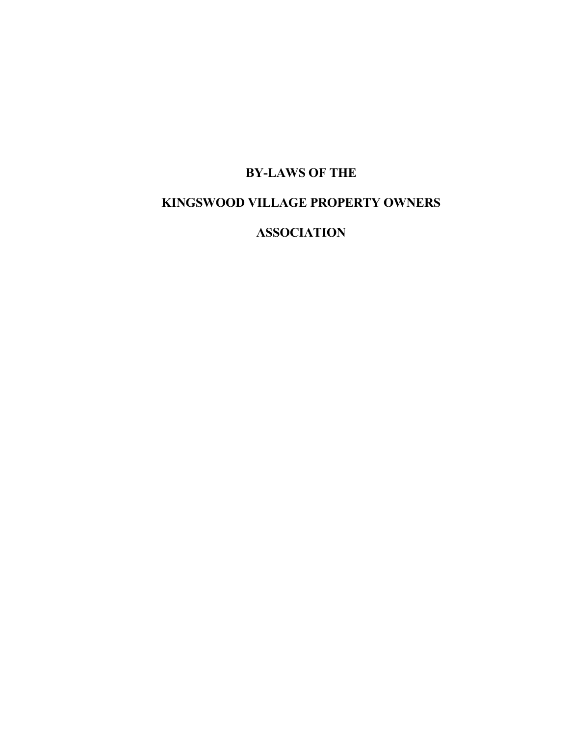# **BY-LAWS OF THE**

# **KINGSWOOD VILLAGE PROPERTY OWNERS**

**ASSOCIATION**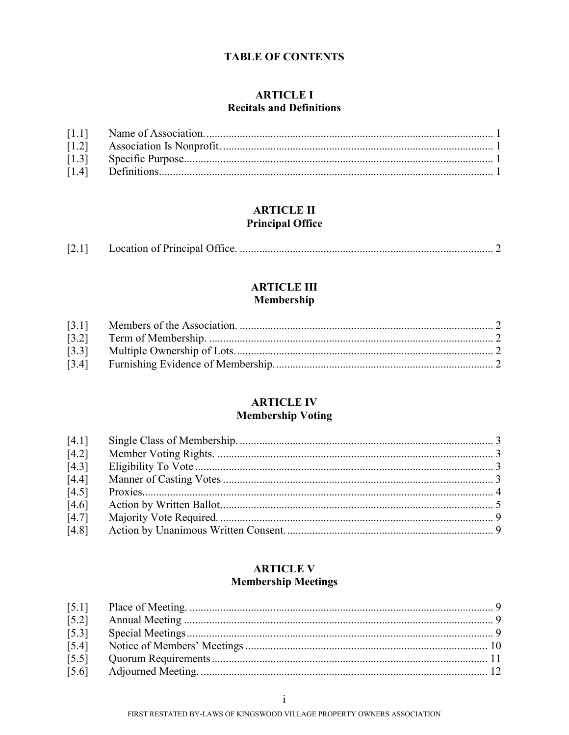### **TABLE OF CONTENTS**

### **ARTICLE I Recitals and Definitions**

| $\lceil 1.4 \rceil$ |  |
|---------------------|--|

## **ARTICLE II Principal Office**

| [2.1] |  |
|-------|--|
|       |  |
|       |  |

# **ARTICLE III** Membership

| $[3.4]$ |  |
|---------|--|
|         |  |

## **ARTICLE IV Membership Voting**

| [4.1]              |  |
|--------------------|--|
| [4.2]              |  |
| [4.3]              |  |
| $\overline{[4.4]}$ |  |
| [4.5]              |  |
| [4.6]              |  |
| [4.7]              |  |
| $\overline{[4.8]}$ |  |

## **ARTICLE V Membership Meetings**

| $\overline{[5.2]}$ |  |
|--------------------|--|
| $\overline{[5.3]}$ |  |
| $[5.4]$            |  |
| $\overline{[5.5]}$ |  |
| $\overline{[5.6]}$ |  |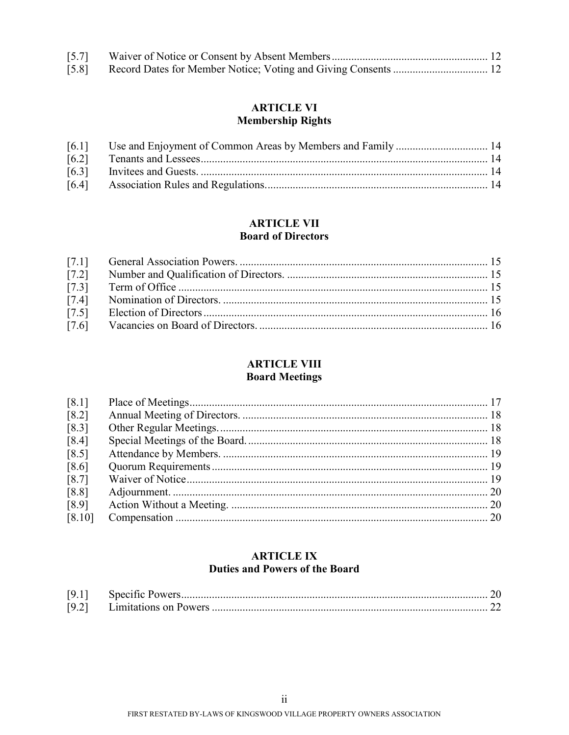| [5.8] Record Dates for Member Notice; Voting and Giving Consents  12 |  |
|----------------------------------------------------------------------|--|

# **ARTICLE VI Membership Rights**

## **ARTICLE VII Board of Directors**

| $[7.2]$ |  |
|---------|--|
| [7.3]   |  |
| $[7.4]$ |  |
| $[7.5]$ |  |
|         |  |

# **ARTICLE VIII**

# **Board Meetings**

| [8.1]   |  |
|---------|--|
| $[8.2]$ |  |
| $[8.3]$ |  |
| $[8.4]$ |  |
| $[8.5]$ |  |
| [8.6]   |  |
| $[8.7]$ |  |
| [8.8]   |  |
| [8.9]   |  |
| [8.10]  |  |

## **ARTICLE IX Duties and Powers of the Board**

| [9.1] |  |
|-------|--|
| [9.2] |  |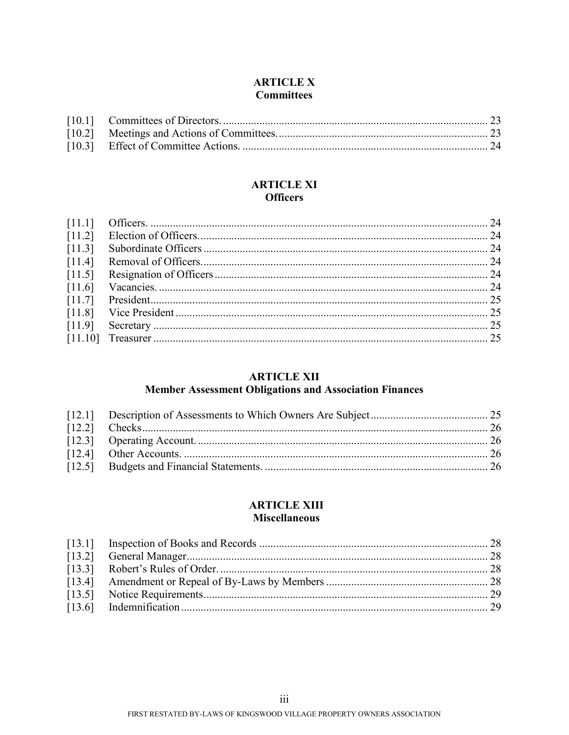## **ARTICLE X Committees**

### **ARTICLE XI Officers**

| [11.3]   |  |
|----------|--|
| [11.4]   |  |
| [11.5]   |  |
| $[11.6]$ |  |
|          |  |
|          |  |
|          |  |
|          |  |
|          |  |

# **ARTICLE XII**

# Member Assessment Obligations and Association Finances

### **ARTICLE XIII Miscellaneous**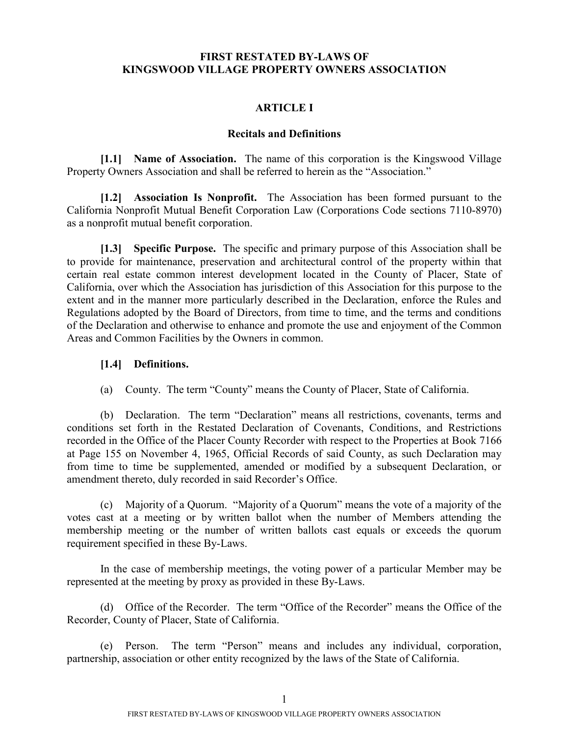### **FIRST RESTATED BY-LAWS OF KINGSWOOD VILLAGE PROPERTY OWNERS ASSOCIATION**

### **ARTICLE I**

#### <span id="page-4-2"></span><span id="page-4-1"></span><span id="page-4-0"></span>**Recitals and Definitions**

**[1.1] Name of Association.** The name of this corporation is the Kingswood Village Property Owners Association and shall be referred to herein as the "Association."

**[1.2] Association Is Nonprofit.** The Association has been formed pursuant to the California Nonprofit Mutual Benefit Corporation Law (Corporations Code sections 7110-8970) as a nonprofit mutual benefit corporation.

**[1.3] Specific Purpose.** The specific and primary purpose of this Association shall be to provide for maintenance, preservation and architectural control of the property within that certain real estate common interest development located in the County of Placer, State of California, over which the Association has jurisdiction of this Association for this purpose to the extent and in the manner more particularly described in the Declaration, enforce the Rules and Regulations adopted by the Board of Directors, from time to time, and the terms and conditions of the Declaration and otherwise to enhance and promote the use and enjoyment of the Common Areas and Common Facilities by the Owners in common.

#### <span id="page-4-3"></span>**[1.4] Definitions.**

(a) County. The term "County" means the County of Placer, State of California.

(b) Declaration. The term "Declaration" means all restrictions, covenants, terms and conditions set forth in the Restated Declaration of Covenants, Conditions, and Restrictions recorded in the Office of the Placer County Recorder with respect to the Properties at Book 7166 at Page 155 on November 4, 1965, Official Records of said County, as such Declaration may from time to time be supplemented, amended or modified by a subsequent Declaration, or amendment thereto, duly recorded in said Recorder's Office.

(c) Majority of a Quorum. "Majority of a Quorum" means the vote of a majority of the votes cast at a meeting or by written ballot when the number of Members attending the membership meeting or the number of written ballots cast equals or exceeds the quorum requirement specified in these By-Laws.

In the case of membership meetings, the voting power of a particular Member may be represented at the meeting by proxy as provided in these By-Laws.

(d) Office of the Recorder. The term "Office of the Recorder" means the Office of the Recorder, County of Placer, State of California.

(e) Person. The term "Person" means and includes any individual, corporation, partnership, association or other entity recognized by the laws of the State of California.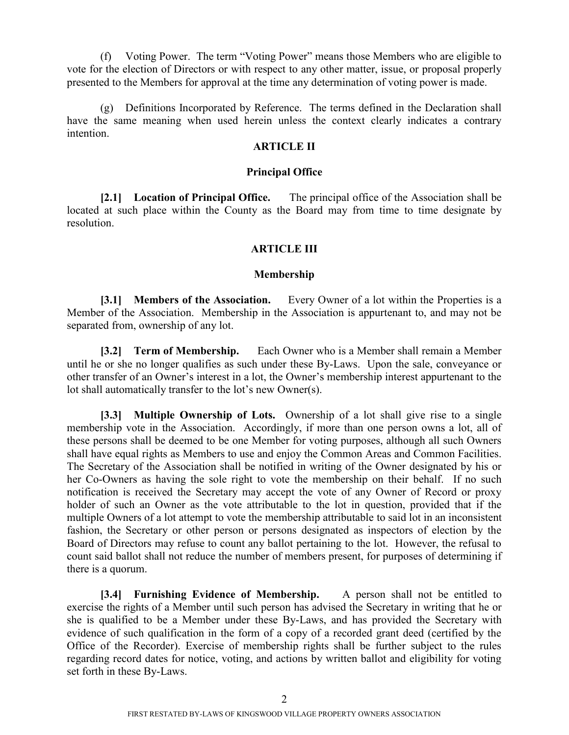(f) Voting Power. The term "Voting Power" means those Members who are eligible to vote for the election of Directors or with respect to any other matter, issue, or proposal properly presented to the Members for approval at the time any determination of voting power is made.

(g) Definitions Incorporated by Reference. The terms defined in the Declaration shall have the same meaning when used herein unless the context clearly indicates a contrary intention.

#### **ARTICLE II**

#### <span id="page-5-0"></span>**Principal Office**

**[2.1] Location of Principal Office.** The principal office of the Association shall be located at such place within the County as the Board may from time to time designate by resolution.

### **ARTICLE III**

#### <span id="page-5-3"></span><span id="page-5-2"></span><span id="page-5-1"></span>**Membership**

**[3.1] Members of the Association.** Every Owner of a lot within the Properties is a Member of the Association. Membership in the Association is appurtenant to, and may not be separated from, ownership of any lot.

**[3.2] Term of Membership.** Each Owner who is a Member shall remain a Member until he or she no longer qualifies as such under these By-Laws. Upon the sale, conveyance or other transfer of an Owner's interest in a lot, the Owner's membership interest appurtenant to the lot shall automatically transfer to the lot's new Owner(s).

**[3.3] Multiple Ownership of Lots.** Ownership of a lot shall give rise to a single membership vote in the Association. Accordingly, if more than one person owns a lot, all of these persons shall be deemed to be one Member for voting purposes, although all such Owners shall have equal rights as Members to use and enjoy the Common Areas and Common Facilities. The Secretary of the Association shall be notified in writing of the Owner designated by his or her Co-Owners as having the sole right to vote the membership on their behalf. If no such notification is received the Secretary may accept the vote of any Owner of Record or proxy holder of such an Owner as the vote attributable to the lot in question, provided that if the multiple Owners of a lot attempt to vote the membership attributable to said lot in an inconsistent fashion, the Secretary or other person or persons designated as inspectors of election by the Board of Directors may refuse to count any ballot pertaining to the lot. However, the refusal to count said ballot shall not reduce the number of members present, for purposes of determining if there is a quorum.

<span id="page-5-4"></span>**[3.4] Furnishing Evidence of Membership.** A person shall not be entitled to exercise the rights of a Member until such person has advised the Secretary in writing that he or she is qualified to be a Member under these By-Laws, and has provided the Secretary with evidence of such qualification in the form of a copy of a recorded grant deed (certified by the Office of the Recorder). Exercise of membership rights shall be further subject to the rules regarding record dates for notice, voting, and actions by written ballot and eligibility for voting set forth in these By-Laws.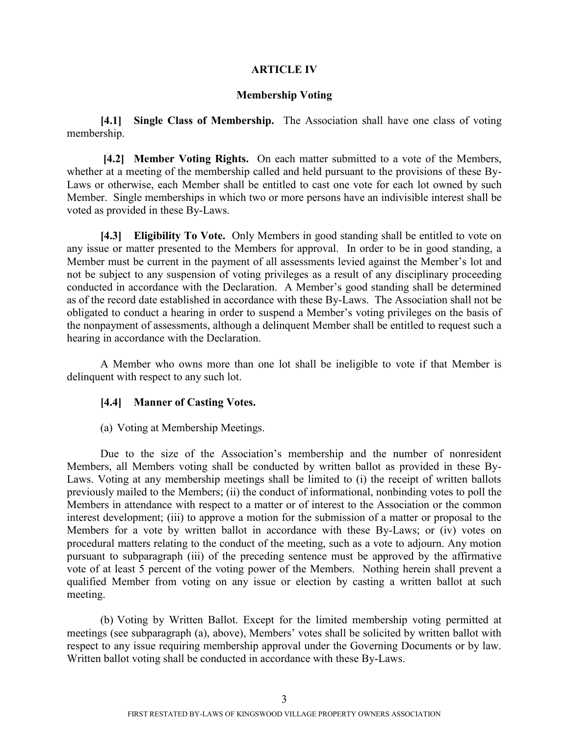### **ARTICLE IV**

#### <span id="page-6-2"></span><span id="page-6-1"></span><span id="page-6-0"></span>**Membership Voting**

**[4.1] Single Class of Membership.** The Association shall have one class of voting membership.

**[4.2] Member Voting Rights.** On each matter submitted to a vote of the Members, whether at a meeting of the membership called and held pursuant to the provisions of these By-Laws or otherwise, each Member shall be entitled to cast one vote for each lot owned by such Member. Single memberships in which two or more persons have an indivisible interest shall be voted as provided in these By-Laws.

**[4.3] Eligibility To Vote.** Only Members in good standing shall be entitled to vote on any issue or matter presented to the Members for approval. In order to be in good standing, a Member must be current in the payment of all assessments levied against the Member's lot and not be subject to any suspension of voting privileges as a result of any disciplinary proceeding conducted in accordance with the Declaration. A Member's good standing shall be determined as of the record date established in accordance with these By-Laws. The Association shall not be obligated to conduct a hearing in order to suspend a Member's voting privileges on the basis of the nonpayment of assessments, although a delinquent Member shall be entitled to request such a hearing in accordance with the Declaration.

A Member who owns more than one lot shall be ineligible to vote if that Member is delinquent with respect to any such lot.

#### <span id="page-6-3"></span>**[4.4] Manner of Casting Votes.**

(a) Voting at Membership Meetings.

Due to the size of the Association's membership and the number of nonresident Members, all Members voting shall be conducted by written ballot as provided in these By-Laws. Voting at any membership meetings shall be limited to (i) the receipt of written ballots previously mailed to the Members; (ii) the conduct of informational, nonbinding votes to poll the Members in attendance with respect to a matter or of interest to the Association or the common interest development; (iii) to approve a motion for the submission of a matter or proposal to the Members for a vote by written ballot in accordance with these By-Laws; or (iv) votes on procedural matters relating to the conduct of the meeting, such as a vote to adjourn. Any motion pursuant to subparagraph (iii) of the preceding sentence must be approved by the affirmative vote of at least 5 percent of the voting power of the Members. Nothing herein shall prevent a qualified Member from voting on any issue or election by casting a written ballot at such meeting.

(b) Voting by Written Ballot. Except for the limited membership voting permitted at meetings (see subparagraph (a), above), Members' votes shall be solicited by written ballot with respect to any issue requiring membership approval under the Governing Documents or by law. Written ballot voting shall be conducted in accordance with these By-Laws.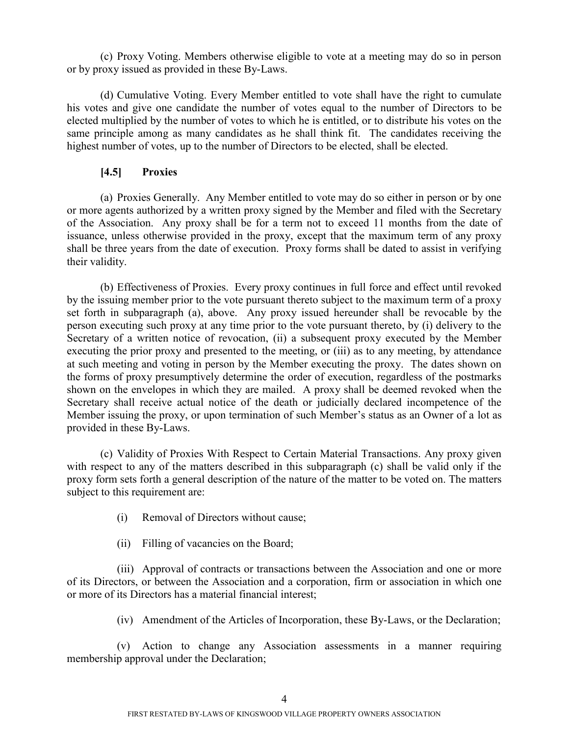(c) Proxy Voting. Members otherwise eligible to vote at a meeting may do so in person or by proxy issued as provided in these By-Laws.

(d) Cumulative Voting. Every Member entitled to vote shall have the right to cumulate his votes and give one candidate the number of votes equal to the number of Directors to be elected multiplied by the number of votes to which he is entitled, or to distribute his votes on the same principle among as many candidates as he shall think fit. The candidates receiving the highest number of votes, up to the number of Directors to be elected, shall be elected.

## <span id="page-7-0"></span>**[4.5] Proxies**

(a) Proxies Generally. Any Member entitled to vote may do so either in person or by one or more agents authorized by a written proxy signed by the Member and filed with the Secretary of the Association. Any proxy shall be for a term not to exceed 11 months from the date of issuance, unless otherwise provided in the proxy, except that the maximum term of any proxy shall be three years from the date of execution. Proxy forms shall be dated to assist in verifying their validity.

(b) Effectiveness of Proxies. Every proxy continues in full force and effect until revoked by the issuing member prior to the vote pursuant thereto subject to the maximum term of a proxy set forth in subparagraph (a), above. Any proxy issued hereunder shall be revocable by the person executing such proxy at any time prior to the vote pursuant thereto, by (i) delivery to the Secretary of a written notice of revocation, (ii) a subsequent proxy executed by the Member executing the prior proxy and presented to the meeting, or (iii) as to any meeting, by attendance at such meeting and voting in person by the Member executing the proxy. The dates shown on the forms of proxy presumptively determine the order of execution, regardless of the postmarks shown on the envelopes in which they are mailed. A proxy shall be deemed revoked when the Secretary shall receive actual notice of the death or judicially declared incompetence of the Member issuing the proxy, or upon termination of such Member's status as an Owner of a lot as provided in these By-Laws.

(c) Validity of Proxies With Respect to Certain Material Transactions. Any proxy given with respect to any of the matters described in this subparagraph (c) shall be valid only if the proxy form sets forth a general description of the nature of the matter to be voted on. The matters subject to this requirement are:

- (i) Removal of Directors without cause;
- (ii) Filling of vacancies on the Board;

(iii) Approval of contracts or transactions between the Association and one or more of its Directors, or between the Association and a corporation, firm or association in which one or more of its Directors has a material financial interest;

(iv) Amendment of the Articles of Incorporation, these By-Laws, or the Declaration;

(v) Action to change any Association assessments in a manner requiring membership approval under the Declaration;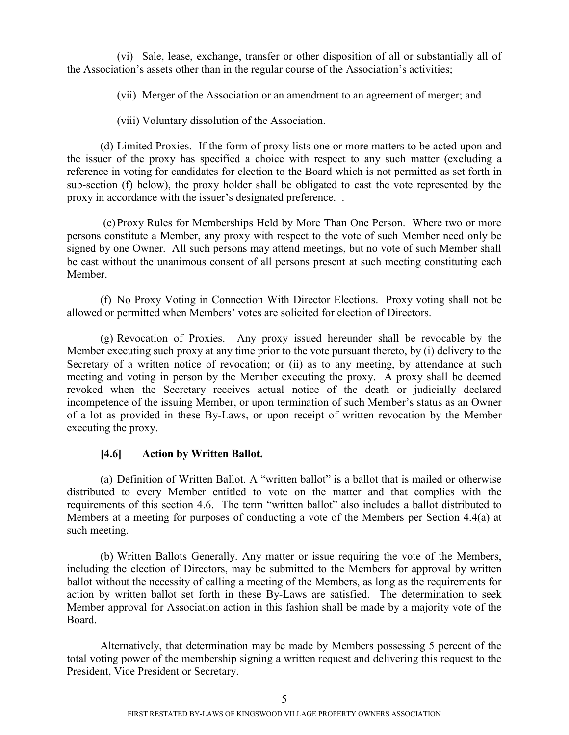(vi) Sale, lease, exchange, transfer or other disposition of all or substantially all of the Association's assets other than in the regular course of the Association's activities;

(vii) Merger of the Association or an amendment to an agreement of merger; and

(viii) Voluntary dissolution of the Association.

(d) Limited Proxies. If the form of proxy lists one or more matters to be acted upon and the issuer of the proxy has specified a choice with respect to any such matter (excluding a reference in voting for candidates for election to the Board which is not permitted as set forth in sub-section (f) below), the proxy holder shall be obligated to cast the vote represented by the proxy in accordance with the issuer's designated preference. .

(e) Proxy Rules for Memberships Held by More Than One Person. Where two or more persons constitute a Member, any proxy with respect to the vote of such Member need only be signed by one Owner. All such persons may attend meetings, but no vote of such Member shall be cast without the unanimous consent of all persons present at such meeting constituting each Member.

(f) No Proxy Voting in Connection With Director Elections. Proxy voting shall not be allowed or permitted when Members' votes are solicited for election of Directors.

(g) Revocation of Proxies. Any proxy issued hereunder shall be revocable by the Member executing such proxy at any time prior to the vote pursuant thereto, by (i) delivery to the Secretary of a written notice of revocation; or (ii) as to any meeting, by attendance at such meeting and voting in person by the Member executing the proxy. A proxy shall be deemed revoked when the Secretary receives actual notice of the death or judicially declared incompetence of the issuing Member, or upon termination of such Member's status as an Owner of a lot as provided in these By-Laws, or upon receipt of written revocation by the Member executing the proxy.

## <span id="page-8-0"></span>**[4.6] Action by Written Ballot.**

(a) Definition of Written Ballot. A "written ballot" is a ballot that is mailed or otherwise distributed to every Member entitled to vote on the matter and that complies with the requirements of this section 4.6. The term "written ballot" also includes a ballot distributed to Members at a meeting for purposes of conducting a vote of the Members per Section 4.4(a) at such meeting.

(b) Written Ballots Generally. Any matter or issue requiring the vote of the Members, including the election of Directors, may be submitted to the Members for approval by written ballot without the necessity of calling a meeting of the Members, as long as the requirements for action by written ballot set forth in these By-Laws are satisfied. The determination to seek Member approval for Association action in this fashion shall be made by a majority vote of the Board.

Alternatively, that determination may be made by Members possessing 5 percent of the total voting power of the membership signing a written request and delivering this request to the President, Vice President or Secretary.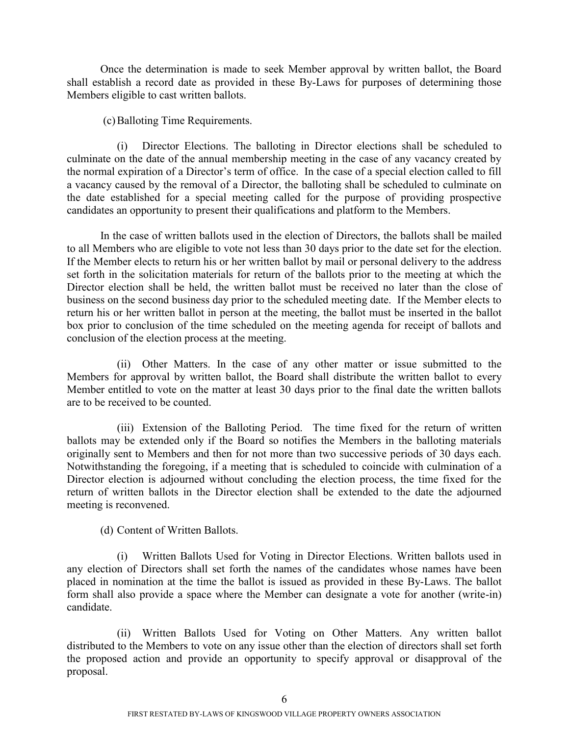Once the determination is made to seek Member approval by written ballot, the Board shall establish a record date as provided in these By-Laws for purposes of determining those Members eligible to cast written ballots.

(c)Balloting Time Requirements.

(i) Director Elections. The balloting in Director elections shall be scheduled to culminate on the date of the annual membership meeting in the case of any vacancy created by the normal expiration of a Director's term of office. In the case of a special election called to fill a vacancy caused by the removal of a Director, the balloting shall be scheduled to culminate on the date established for a special meeting called for the purpose of providing prospective candidates an opportunity to present their qualifications and platform to the Members.

In the case of written ballots used in the election of Directors, the ballots shall be mailed to all Members who are eligible to vote not less than 30 days prior to the date set for the election. If the Member elects to return his or her written ballot by mail or personal delivery to the address set forth in the solicitation materials for return of the ballots prior to the meeting at which the Director election shall be held, the written ballot must be received no later than the close of business on the second business day prior to the scheduled meeting date. If the Member elects to return his or her written ballot in person at the meeting, the ballot must be inserted in the ballot box prior to conclusion of the time scheduled on the meeting agenda for receipt of ballots and conclusion of the election process at the meeting.

(ii) Other Matters. In the case of any other matter or issue submitted to the Members for approval by written ballot, the Board shall distribute the written ballot to every Member entitled to vote on the matter at least 30 days prior to the final date the written ballots are to be received to be counted.

(iii) Extension of the Balloting Period. The time fixed for the return of written ballots may be extended only if the Board so notifies the Members in the balloting materials originally sent to Members and then for not more than two successive periods of 30 days each. Notwithstanding the foregoing, if a meeting that is scheduled to coincide with culmination of a Director election is adjourned without concluding the election process, the time fixed for the return of written ballots in the Director election shall be extended to the date the adjourned meeting is reconvened.

(d) Content of Written Ballots.

(i) Written Ballots Used for Voting in Director Elections. Written ballots used in any election of Directors shall set forth the names of the candidates whose names have been placed in nomination at the time the ballot is issued as provided in these By-Laws. The ballot form shall also provide a space where the Member can designate a vote for another (write-in) candidate.

(ii) Written Ballots Used for Voting on Other Matters. Any written ballot distributed to the Members to vote on any issue other than the election of directors shall set forth the proposed action and provide an opportunity to specify approval or disapproval of the proposal.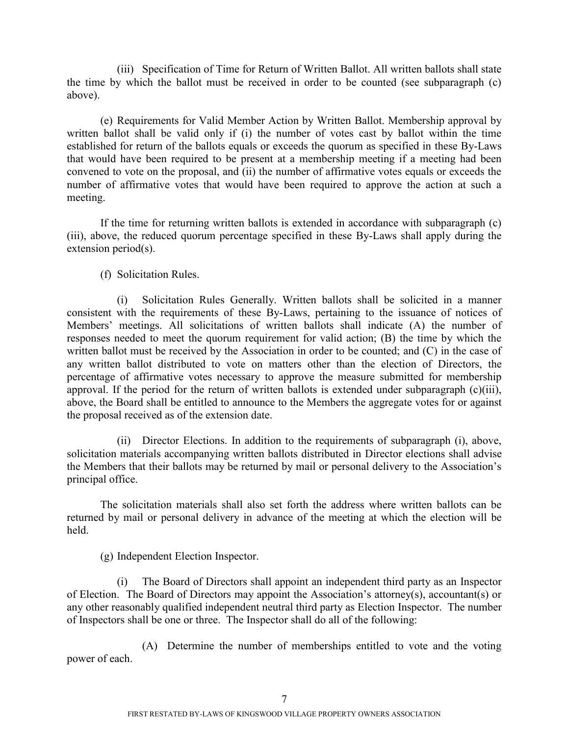(iii) Specification of Time for Return of Written Ballot. All written ballots shall state the time by which the ballot must be received in order to be counted (see subparagraph (c) above).

(e) Requirements for Valid Member Action by Written Ballot. Membership approval by written ballot shall be valid only if (i) the number of votes cast by ballot within the time established for return of the ballots equals or exceeds the quorum as specified in these By-Laws that would have been required to be present at a membership meeting if a meeting had been convened to vote on the proposal, and (ii) the number of affirmative votes equals or exceeds the number of affirmative votes that would have been required to approve the action at such a meeting.

If the time for returning written ballots is extended in accordance with subparagraph (c) (iii), above, the reduced quorum percentage specified in these By-Laws shall apply during the extension period(s).

(f) Solicitation Rules.

(i) Solicitation Rules Generally. Written ballots shall be solicited in a manner consistent with the requirements of these By-Laws, pertaining to the issuance of notices of Members' meetings. All solicitations of written ballots shall indicate (A) the number of responses needed to meet the quorum requirement for valid action; (B) the time by which the written ballot must be received by the Association in order to be counted; and (C) in the case of any written ballot distributed to vote on matters other than the election of Directors, the percentage of affirmative votes necessary to approve the measure submitted for membership approval. If the period for the return of written ballots is extended under subparagraph (c)(iii), above, the Board shall be entitled to announce to the Members the aggregate votes for or against the proposal received as of the extension date.

(ii) Director Elections. In addition to the requirements of subparagraph (i), above, solicitation materials accompanying written ballots distributed in Director elections shall advise the Members that their ballots may be returned by mail or personal delivery to the Association's principal office.

The solicitation materials shall also set forth the address where written ballots can be returned by mail or personal delivery in advance of the meeting at which the election will be held.

(g) Independent Election Inspector.

(i) The Board of Directors shall appoint an independent third party as an Inspector of Election. The Board of Directors may appoint the Association's attorney(s), accountant(s) or any other reasonably qualified independent neutral third party as Election Inspector. The number of Inspectors shall be one or three. The Inspector shall do all of the following:

(A) Determine the number of memberships entitled to vote and the voting power of each.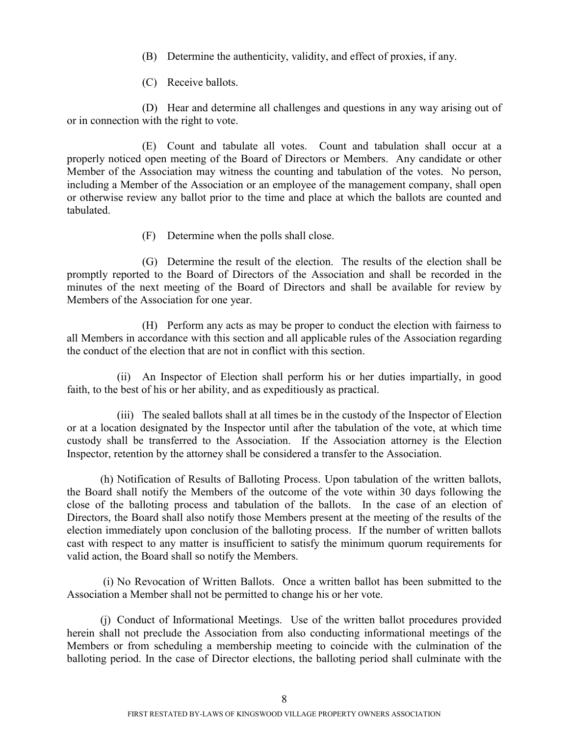- (B) Determine the authenticity, validity, and effect of proxies, if any.
- (C) Receive ballots.

(D) Hear and determine all challenges and questions in any way arising out of or in connection with the right to vote.

(E) Count and tabulate all votes. Count and tabulation shall occur at a properly noticed open meeting of the Board of Directors or Members. Any candidate or other Member of the Association may witness the counting and tabulation of the votes. No person, including a Member of the Association or an employee of the management company, shall open or otherwise review any ballot prior to the time and place at which the ballots are counted and tabulated.

(F) Determine when the polls shall close.

(G) Determine the result of the election. The results of the election shall be promptly reported to the Board of Directors of the Association and shall be recorded in the minutes of the next meeting of the Board of Directors and shall be available for review by Members of the Association for one year.

(H) Perform any acts as may be proper to conduct the election with fairness to all Members in accordance with this section and all applicable rules of the Association regarding the conduct of the election that are not in conflict with this section.

(ii) An Inspector of Election shall perform his or her duties impartially, in good faith, to the best of his or her ability, and as expeditiously as practical.

(iii) The sealed ballots shall at all times be in the custody of the Inspector of Election or at a location designated by the Inspector until after the tabulation of the vote, at which time custody shall be transferred to the Association. If the Association attorney is the Election Inspector, retention by the attorney shall be considered a transfer to the Association.

(h) Notification of Results of Balloting Process. Upon tabulation of the written ballots, the Board shall notify the Members of the outcome of the vote within 30 days following the close of the balloting process and tabulation of the ballots. In the case of an election of Directors, the Board shall also notify those Members present at the meeting of the results of the election immediately upon conclusion of the balloting process. If the number of written ballots cast with respect to any matter is insufficient to satisfy the minimum quorum requirements for valid action, the Board shall so notify the Members.

(i) No Revocation of Written Ballots. Once a written ballot has been submitted to the Association a Member shall not be permitted to change his or her vote.

(j) Conduct of Informational Meetings. Use of the written ballot procedures provided herein shall not preclude the Association from also conducting informational meetings of the Members or from scheduling a membership meeting to coincide with the culmination of the balloting period. In the case of Director elections, the balloting period shall culminate with the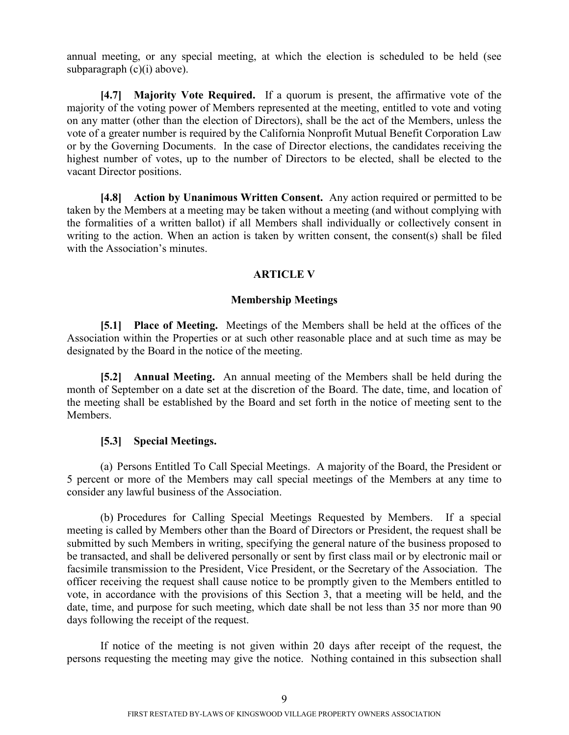annual meeting, or any special meeting, at which the election is scheduled to be held (see subparagraph (c)(i) above).

**[4.7] Majority Vote Required.** If a quorum is present, the affirmative vote of the majority of the voting power of Members represented at the meeting, entitled to vote and voting on any matter (other than the election of Directors), shall be the act of the Members, unless the vote of a greater number is required by the California Nonprofit Mutual Benefit Corporation Law or by the Governing Documents. In the case of Director elections, the candidates receiving the highest number of votes, up to the number of Directors to be elected, shall be elected to the vacant Director positions.

**[4.8] Action by Unanimous Written Consent.** Any action required or permitted to be taken by the Members at a meeting may be taken without a meeting (and without complying with the formalities of a written ballot) if all Members shall individually or collectively consent in writing to the action. When an action is taken by written consent, the consent(s) shall be filed with the Association's minutes.

#### <span id="page-12-1"></span><span id="page-12-0"></span>**ARTICLE V**

#### <span id="page-12-3"></span><span id="page-12-2"></span>**Membership Meetings**

**[5.1] Place of Meeting.** Meetings of the Members shall be held at the offices of the Association within the Properties or at such other reasonable place and at such time as may be designated by the Board in the notice of the meeting.

**[5.2] Annual Meeting.** An annual meeting of the Members shall be held during the month of September on a date set at the discretion of the Board. The date, time, and location of the meeting shall be established by the Board and set forth in the notice of meeting sent to the Members.

### <span id="page-12-4"></span>**[5.3] Special Meetings.**

(a) Persons Entitled To Call Special Meetings. A majority of the Board, the President or 5 percent or more of the Members may call special meetings of the Members at any time to consider any lawful business of the Association.

(b) Procedures for Calling Special Meetings Requested by Members. If a special meeting is called by Members other than the Board of Directors or President, the request shall be submitted by such Members in writing, specifying the general nature of the business proposed to be transacted, and shall be delivered personally or sent by first class mail or by electronic mail or facsimile transmission to the President, Vice President, or the Secretary of the Association. The officer receiving the request shall cause notice to be promptly given to the Members entitled to vote, in accordance with the provisions of this Section 3, that a meeting will be held, and the date, time, and purpose for such meeting, which date shall be not less than 35 nor more than 90 days following the receipt of the request.

If notice of the meeting is not given within 20 days after receipt of the request, the persons requesting the meeting may give the notice. Nothing contained in this subsection shall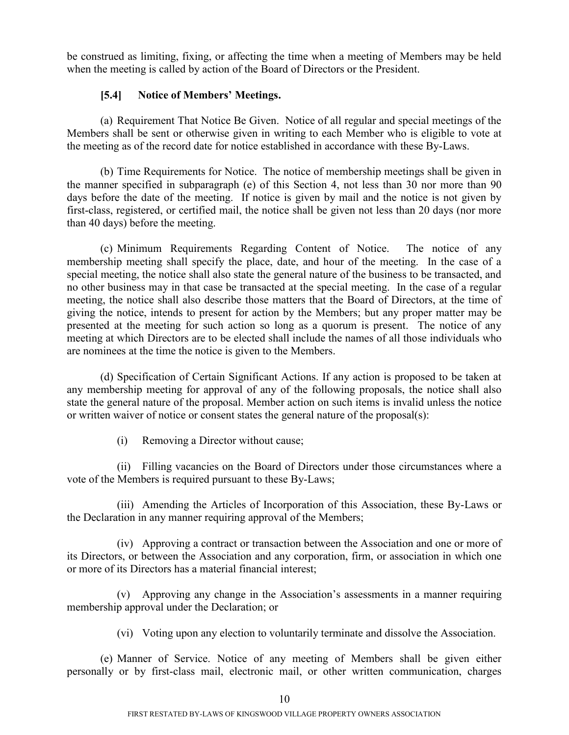be construed as limiting, fixing, or affecting the time when a meeting of Members may be held when the meeting is called by action of the Board of Directors or the President.

## <span id="page-13-0"></span>**[5.4] Notice of Members' Meetings.**

(a) Requirement That Notice Be Given. Notice of all regular and special meetings of the Members shall be sent or otherwise given in writing to each Member who is eligible to vote at the meeting as of the record date for notice established in accordance with these By-Laws.

(b) Time Requirements for Notice. The notice of membership meetings shall be given in the manner specified in subparagraph (e) of this Section 4, not less than 30 nor more than 90 days before the date of the meeting. If notice is given by mail and the notice is not given by first-class, registered, or certified mail, the notice shall be given not less than 20 days (nor more than 40 days) before the meeting.

(c) Minimum Requirements Regarding Content of Notice. The notice of any membership meeting shall specify the place, date, and hour of the meeting. In the case of a special meeting, the notice shall also state the general nature of the business to be transacted, and no other business may in that case be transacted at the special meeting. In the case of a regular meeting, the notice shall also describe those matters that the Board of Directors, at the time of giving the notice, intends to present for action by the Members; but any proper matter may be presented at the meeting for such action so long as a quorum is present. The notice of any meeting at which Directors are to be elected shall include the names of all those individuals who are nominees at the time the notice is given to the Members.

(d) Specification of Certain Significant Actions. If any action is proposed to be taken at any membership meeting for approval of any of the following proposals, the notice shall also state the general nature of the proposal. Member action on such items is invalid unless the notice or written waiver of notice or consent states the general nature of the proposal(s):

(i) Removing a Director without cause;

(ii) Filling vacancies on the Board of Directors under those circumstances where a vote of the Members is required pursuant to these By-Laws;

(iii) Amending the Articles of Incorporation of this Association, these By-Laws or the Declaration in any manner requiring approval of the Members;

(iv) Approving a contract or transaction between the Association and one or more of its Directors, or between the Association and any corporation, firm, or association in which one or more of its Directors has a material financial interest;

(v) Approving any change in the Association's assessments in a manner requiring membership approval under the Declaration; or

(vi) Voting upon any election to voluntarily terminate and dissolve the Association.

(e) Manner of Service. Notice of any meeting of Members shall be given either personally or by first-class mail, electronic mail, or other written communication, charges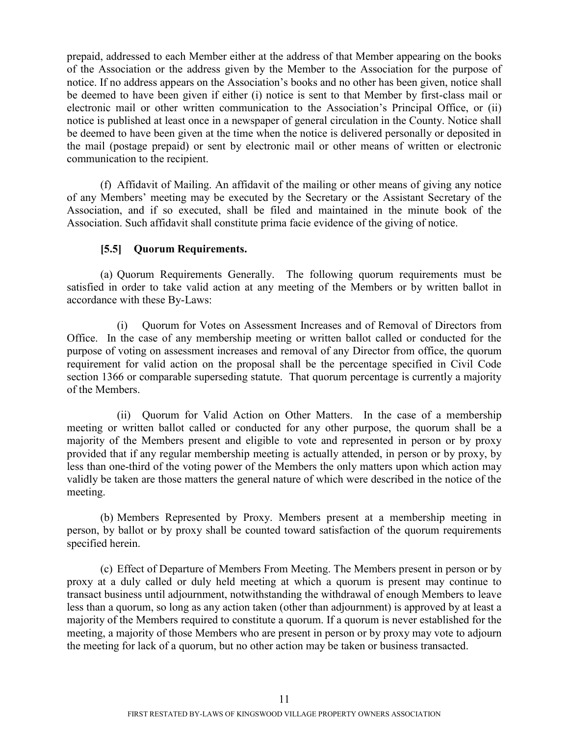prepaid, addressed to each Member either at the address of that Member appearing on the books of the Association or the address given by the Member to the Association for the purpose of notice. If no address appears on the Association's books and no other has been given, notice shall be deemed to have been given if either (i) notice is sent to that Member by first-class mail or electronic mail or other written communication to the Association's Principal Office, or (ii) notice is published at least once in a newspaper of general circulation in the County. Notice shall be deemed to have been given at the time when the notice is delivered personally or deposited in the mail (postage prepaid) or sent by electronic mail or other means of written or electronic communication to the recipient.

(f) Affidavit of Mailing. An affidavit of the mailing or other means of giving any notice of any Members' meeting may be executed by the Secretary or the Assistant Secretary of the Association, and if so executed, shall be filed and maintained in the minute book of the Association. Such affidavit shall constitute prima facie evidence of the giving of notice.

## <span id="page-14-0"></span>**[5.5] Quorum Requirements.**

(a) Quorum Requirements Generally. The following quorum requirements must be satisfied in order to take valid action at any meeting of the Members or by written ballot in accordance with these By-Laws:

(i) Quorum for Votes on Assessment Increases and of Removal of Directors from Office. In the case of any membership meeting or written ballot called or conducted for the purpose of voting on assessment increases and removal of any Director from office, the quorum requirement for valid action on the proposal shall be the percentage specified in Civil Code section 1366 or comparable superseding statute. That quorum percentage is currently a majority of the Members.

(ii) Quorum for Valid Action on Other Matters. In the case of a membership meeting or written ballot called or conducted for any other purpose, the quorum shall be a majority of the Members present and eligible to vote and represented in person or by proxy provided that if any regular membership meeting is actually attended, in person or by proxy, by less than one-third of the voting power of the Members the only matters upon which action may validly be taken are those matters the general nature of which were described in the notice of the meeting.

(b) Members Represented by Proxy. Members present at a membership meeting in person, by ballot or by proxy shall be counted toward satisfaction of the quorum requirements specified herein.

(c) Effect of Departure of Members From Meeting. The Members present in person or by proxy at a duly called or duly held meeting at which a quorum is present may continue to transact business until adjournment, notwithstanding the withdrawal of enough Members to leave less than a quorum, so long as any action taken (other than adjournment) is approved by at least a majority of the Members required to constitute a quorum. If a quorum is never established for the meeting, a majority of those Members who are present in person or by proxy may vote to adjourn the meeting for lack of a quorum, but no other action may be taken or business transacted.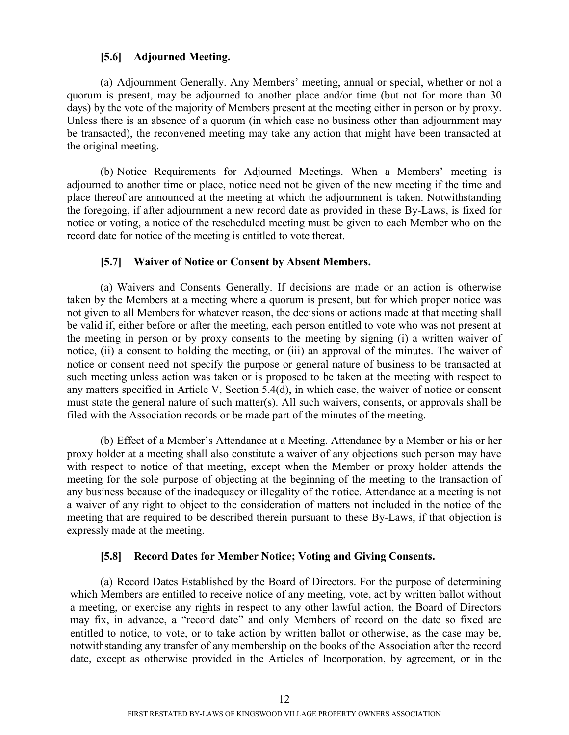## <span id="page-15-0"></span>**[5.6] Adjourned Meeting.**

(a) Adjournment Generally. Any Members' meeting, annual or special, whether or not a quorum is present, may be adjourned to another place and/or time (but not for more than 30 days) by the vote of the majority of Members present at the meeting either in person or by proxy. Unless there is an absence of a quorum (in which case no business other than adjournment may be transacted), the reconvened meeting may take any action that might have been transacted at the original meeting.

(b) Notice Requirements for Adjourned Meetings. When a Members' meeting is adjourned to another time or place, notice need not be given of the new meeting if the time and place thereof are announced at the meeting at which the adjournment is taken. Notwithstanding the foregoing, if after adjournment a new record date as provided in these By-Laws, is fixed for notice or voting, a notice of the rescheduled meeting must be given to each Member who on the record date for notice of the meeting is entitled to vote thereat.

### <span id="page-15-1"></span>**[5.7] Waiver of Notice or Consent by Absent Members.**

(a) Waivers and Consents Generally. If decisions are made or an action is otherwise taken by the Members at a meeting where a quorum is present, but for which proper notice was not given to all Members for whatever reason, the decisions or actions made at that meeting shall be valid if, either before or after the meeting, each person entitled to vote who was not present at the meeting in person or by proxy consents to the meeting by signing (i) a written waiver of notice, (ii) a consent to holding the meeting, or (iii) an approval of the minutes. The waiver of notice or consent need not specify the purpose or general nature of business to be transacted at such meeting unless action was taken or is proposed to be taken at the meeting with respect to any matters specified in Article V, Section 5.4(d), in which case, the waiver of notice or consent must state the general nature of such matter(s). All such waivers, consents, or approvals shall be filed with the Association records or be made part of the minutes of the meeting.

(b) Effect of a Member's Attendance at a Meeting. Attendance by a Member or his or her proxy holder at a meeting shall also constitute a waiver of any objections such person may have with respect to notice of that meeting, except when the Member or proxy holder attends the meeting for the sole purpose of objecting at the beginning of the meeting to the transaction of any business because of the inadequacy or illegality of the notice. Attendance at a meeting is not a waiver of any right to object to the consideration of matters not included in the notice of the meeting that are required to be described therein pursuant to these By-Laws, if that objection is expressly made at the meeting.

### <span id="page-15-2"></span>**[5.8] Record Dates for Member Notice; Voting and Giving Consents.**

(a) Record Dates Established by the Board of Directors. For the purpose of determining which Members are entitled to receive notice of any meeting, vote, act by written ballot without a meeting, or exercise any rights in respect to any other lawful action, the Board of Directors may fix, in advance, a "record date" and only Members of record on the date so fixed are entitled to notice, to vote, or to take action by written ballot or otherwise, as the case may be, notwithstanding any transfer of any membership on the books of the Association after the record date, except as otherwise provided in the Articles of Incorporation, by agreement, or in the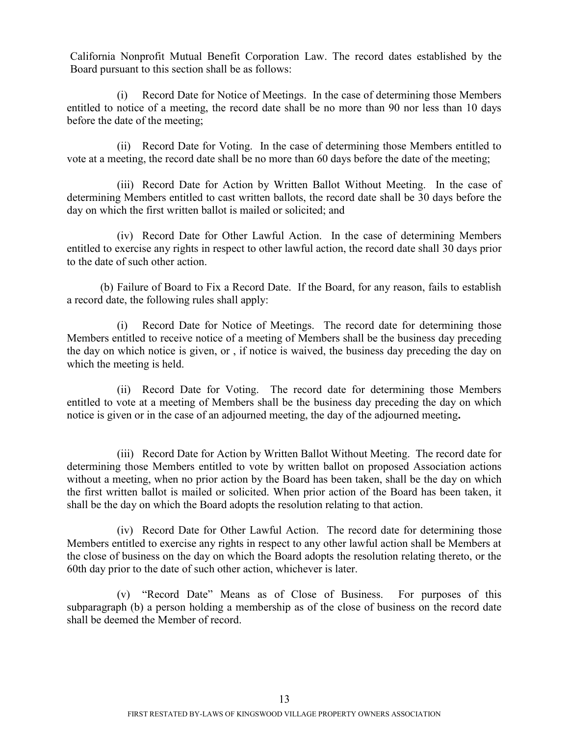California Nonprofit Mutual Benefit Corporation Law. The record dates established by the Board pursuant to this section shall be as follows:

(i) Record Date for Notice of Meetings. In the case of determining those Members entitled to notice of a meeting, the record date shall be no more than 90 nor less than 10 days before the date of the meeting;

(ii) Record Date for Voting. In the case of determining those Members entitled to vote at a meeting, the record date shall be no more than 60 days before the date of the meeting;

(iii) Record Date for Action by Written Ballot Without Meeting. In the case of determining Members entitled to cast written ballots, the record date shall be 30 days before the day on which the first written ballot is mailed or solicited; and

(iv) Record Date for Other Lawful Action. In the case of determining Members entitled to exercise any rights in respect to other lawful action, the record date shall 30 days prior to the date of such other action.

(b) Failure of Board to Fix a Record Date. If the Board, for any reason, fails to establish a record date, the following rules shall apply:

(i) Record Date for Notice of Meetings. The record date for determining those Members entitled to receive notice of a meeting of Members shall be the business day preceding the day on which notice is given, or , if notice is waived, the business day preceding the day on which the meeting is held.

(ii) Record Date for Voting. The record date for determining those Members entitled to vote at a meeting of Members shall be the business day preceding the day on which notice is given or in the case of an adjourned meeting, the day of the adjourned meeting**.**

(iii) Record Date for Action by Written Ballot Without Meeting. The record date for determining those Members entitled to vote by written ballot on proposed Association actions without a meeting, when no prior action by the Board has been taken, shall be the day on which the first written ballot is mailed or solicited. When prior action of the Board has been taken, it shall be the day on which the Board adopts the resolution relating to that action.

(iv) Record Date for Other Lawful Action. The record date for determining those Members entitled to exercise any rights in respect to any other lawful action shall be Members at the close of business on the day on which the Board adopts the resolution relating thereto, or the 60th day prior to the date of such other action, whichever is later.

(v) "Record Date" Means as of Close of Business. For purposes of this subparagraph (b) a person holding a membership as of the close of business on the record date shall be deemed the Member of record.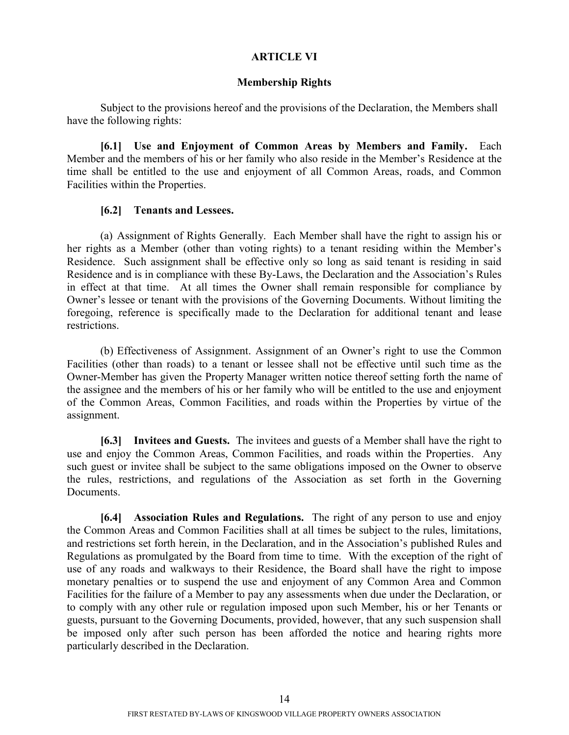### <span id="page-17-0"></span>**ARTICLE VI**

#### <span id="page-17-1"></span>**Membership Rights**

Subject to the provisions hereof and the provisions of the Declaration, the Members shall have the following rights:

**[6.1] Use and Enjoyment of Common Areas by Members and Family.** Each Member and the members of his or her family who also reside in the Member's Residence at the time shall be entitled to the use and enjoyment of all Common Areas, roads, and Common Facilities within the Properties.

### **[6.2] Tenants and Lessees.**

(a) Assignment of Rights Generally. Each Member shall have the right to assign his or her rights as a Member (other than voting rights) to a tenant residing within the Member's Residence. Such assignment shall be effective only so long as said tenant is residing in said Residence and is in compliance with these By-Laws, the Declaration and the Association's Rules in effect at that time. At all times the Owner shall remain responsible for compliance by Owner's lessee or tenant with the provisions of the Governing Documents. Without limiting the foregoing, reference is specifically made to the Declaration for additional tenant and lease restrictions.

(b) Effectiveness of Assignment. Assignment of an Owner's right to use the Common Facilities (other than roads) to a tenant or lessee shall not be effective until such time as the Owner-Member has given the Property Manager written notice thereof setting forth the name of the assignee and the members of his or her family who will be entitled to the use and enjoyment of the Common Areas, Common Facilities, and roads within the Properties by virtue of the assignment.

<span id="page-17-2"></span>**[6.3] Invitees and Guests.** The invitees and guests of a Member shall have the right to use and enjoy the Common Areas, Common Facilities, and roads within the Properties. Any such guest or invitee shall be subject to the same obligations imposed on the Owner to observe the rules, restrictions, and regulations of the Association as set forth in the Governing Documents.

<span id="page-17-3"></span>**[6.4] Association Rules and Regulations.** The right of any person to use and enjoy the Common Areas and Common Facilities shall at all times be subject to the rules, limitations, and restrictions set forth herein, in the Declaration, and in the Association's published Rules and Regulations as promulgated by the Board from time to time. With the exception of the right of use of any roads and walkways to their Residence, the Board shall have the right to impose monetary penalties or to suspend the use and enjoyment of any Common Area and Common Facilities for the failure of a Member to pay any assessments when due under the Declaration, or to comply with any other rule or regulation imposed upon such Member, his or her Tenants or guests, pursuant to the Governing Documents, provided, however, that any such suspension shall be imposed only after such person has been afforded the notice and hearing rights more particularly described in the Declaration.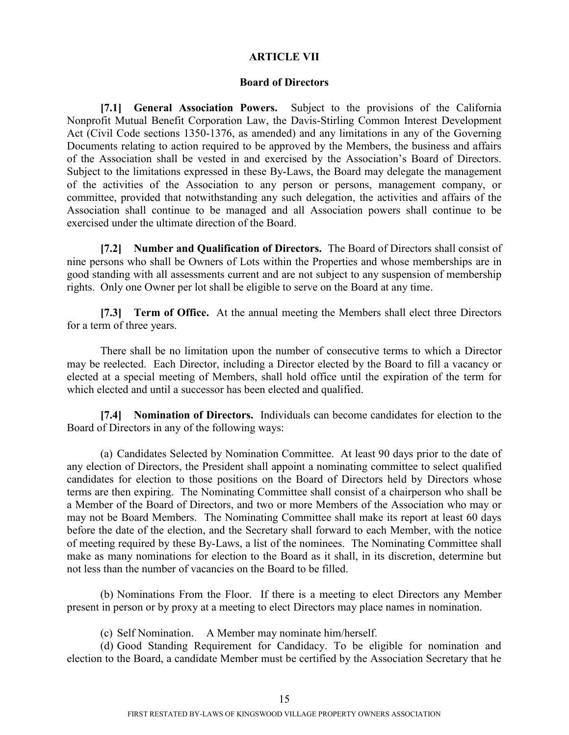#### **ARTICLE VII**

### <span id="page-18-1"></span><span id="page-18-0"></span>**Board of Directors**

**[7.1] General Association Powers.** Subject to the provisions of the California Nonprofit Mutual Benefit Corporation Law, the Davis-Stirling Common Interest Development Act (Civil Code sections 1350-1376, as amended) and any limitations in any of the Governing Documents relating to action required to be approved by the Members, the business and affairs of the Association shall be vested in and exercised by the Association's Board of Directors. Subject to the limitations expressed in these By-Laws, the Board may delegate the management of the activities of the Association to any person or persons, management company, or committee, provided that notwithstanding any such delegation, the activities and affairs of the Association shall continue to be managed and all Association powers shall continue to be exercised under the ultimate direction of the Board.

**[7.2] Number and Qualification of Directors.** The Board of Directors shall consist of nine persons who shall be Owners of Lots within the Properties and whose memberships are in good standing with all assessments current and are not subject to any suspension of membership rights. Only one Owner per lot shall be eligible to serve on the Board at any time.

<span id="page-18-2"></span>**[7.3] Term of Office.** At the annual meeting the Members shall elect three Directors for a term of three years.

There shall be no limitation upon the number of consecutive terms to which a Director may be reelected. Each Director, including a Director elected by the Board to fill a vacancy or elected at a special meeting of Members, shall hold office until the expiration of the term for which elected and until a successor has been elected and qualified.

<span id="page-18-3"></span>**[7.4] Nomination of Directors.** Individuals can become candidates for election to the Board of Directors in any of the following ways:

(a) Candidates Selected by Nomination Committee. At least 90 days prior to the date of any election of Directors, the President shall appoint a nominating committee to select qualified candidates for election to those positions on the Board of Directors held by Directors whose terms are then expiring. The Nominating Committee shall consist of a chairperson who shall be a Member of the Board of Directors, and two or more Members of the Association who may or may not be Board Members. The Nominating Committee shall make its report at least 60 days before the date of the election, and the Secretary shall forward to each Member, with the notice of meeting required by these By-Laws, a list of the nominees. The Nominating Committee shall make as many nominations for election to the Board as it shall, in its discretion, determine but not less than the number of vacancies on the Board to be filled.

(b) Nominations From the Floor. If there is a meeting to elect Directors any Member present in person or by proxy at a meeting to elect Directors may place names in nomination.

(c) Self Nomination. A Member may nominate him/herself.

(d) Good Standing Requirement for Candidacy. To be eligible for nomination and election to the Board, a candidate Member must be certified by the Association Secretary that he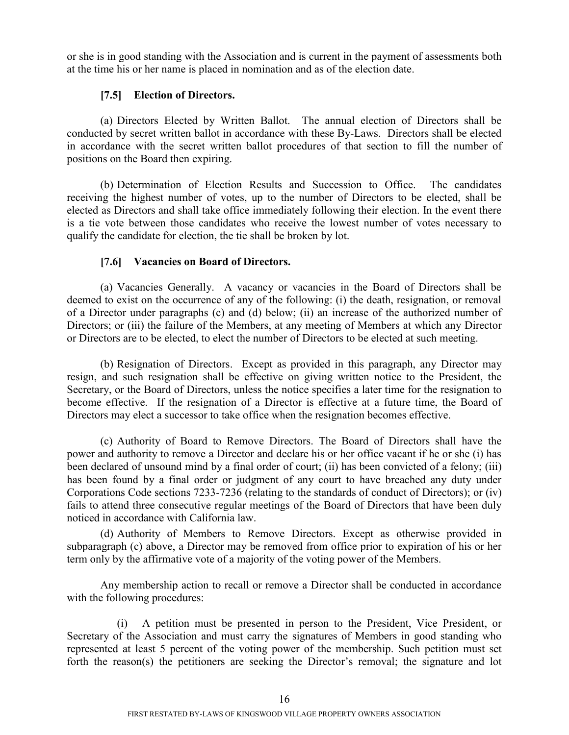or she is in good standing with the Association and is current in the payment of assessments both at the time his or her name is placed in nomination and as of the election date.

## <span id="page-19-0"></span>**[7.5] Election of Directors.**

(a) Directors Elected by Written Ballot. The annual election of Directors shall be conducted by secret written ballot in accordance with these By-Laws. Directors shall be elected in accordance with the secret written ballot procedures of that section to fill the number of positions on the Board then expiring.

(b) Determination of Election Results and Succession to Office. The candidates receiving the highest number of votes, up to the number of Directors to be elected, shall be elected as Directors and shall take office immediately following their election. In the event there is a tie vote between those candidates who receive the lowest number of votes necessary to qualify the candidate for election, the tie shall be broken by lot.

## <span id="page-19-1"></span>**[7.6] Vacancies on Board of Directors.**

(a) Vacancies Generally. A vacancy or vacancies in the Board of Directors shall be deemed to exist on the occurrence of any of the following: (i) the death, resignation, or removal of a Director under paragraphs (c) and (d) below; (ii) an increase of the authorized number of Directors; or (iii) the failure of the Members, at any meeting of Members at which any Director or Directors are to be elected, to elect the number of Directors to be elected at such meeting.

(b) Resignation of Directors. Except as provided in this paragraph, any Director may resign, and such resignation shall be effective on giving written notice to the President, the Secretary, or the Board of Directors, unless the notice specifies a later time for the resignation to become effective. If the resignation of a Director is effective at a future time, the Board of Directors may elect a successor to take office when the resignation becomes effective.

(c) Authority of Board to Remove Directors. The Board of Directors shall have the power and authority to remove a Director and declare his or her office vacant if he or she (i) has been declared of unsound mind by a final order of court; (ii) has been convicted of a felony; (iii) has been found by a final order or judgment of any court to have breached any duty under Corporations Code sections 7233-7236 (relating to the standards of conduct of Directors); or (iv) fails to attend three consecutive regular meetings of the Board of Directors that have been duly noticed in accordance with California law.

(d) Authority of Members to Remove Directors. Except as otherwise provided in subparagraph (c) above, a Director may be removed from office prior to expiration of his or her term only by the affirmative vote of a majority of the voting power of the Members.

Any membership action to recall or remove a Director shall be conducted in accordance with the following procedures:

(i) A petition must be presented in person to the President, Vice President, or Secretary of the Association and must carry the signatures of Members in good standing who represented at least 5 percent of the voting power of the membership. Such petition must set forth the reason(s) the petitioners are seeking the Director's removal; the signature and lot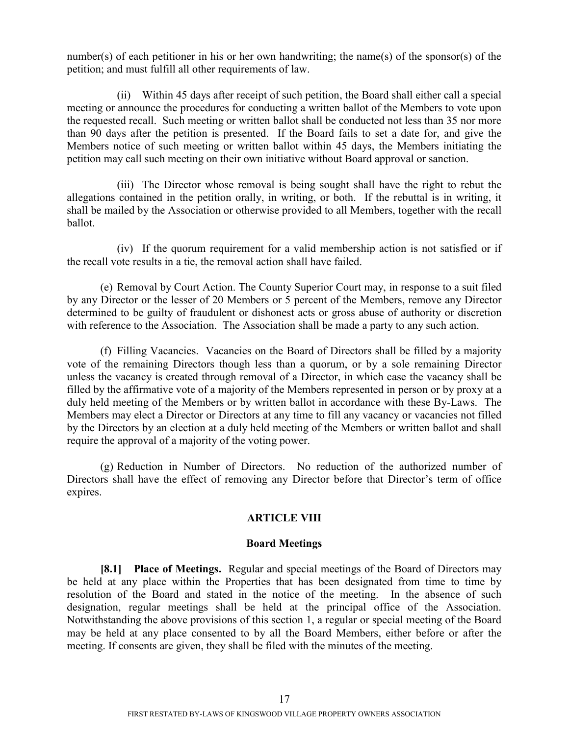number(s) of each petitioner in his or her own handwriting; the name(s) of the sponsor(s) of the petition; and must fulfill all other requirements of law.

(ii) Within 45 days after receipt of such petition, the Board shall either call a special meeting or announce the procedures for conducting a written ballot of the Members to vote upon the requested recall. Such meeting or written ballot shall be conducted not less than 35 nor more than 90 days after the petition is presented. If the Board fails to set a date for, and give the Members notice of such meeting or written ballot within 45 days, the Members initiating the petition may call such meeting on their own initiative without Board approval or sanction.

(iii) The Director whose removal is being sought shall have the right to rebut the allegations contained in the petition orally, in writing, or both. If the rebuttal is in writing, it shall be mailed by the Association or otherwise provided to all Members, together with the recall ballot.

(iv) If the quorum requirement for a valid membership action is not satisfied or if the recall vote results in a tie, the removal action shall have failed.

(e) Removal by Court Action. The County Superior Court may, in response to a suit filed by any Director or the lesser of 20 Members or 5 percent of the Members, remove any Director determined to be guilty of fraudulent or dishonest acts or gross abuse of authority or discretion with reference to the Association. The Association shall be made a party to any such action.

(f) Filling Vacancies. Vacancies on the Board of Directors shall be filled by a majority vote of the remaining Directors though less than a quorum, or by a sole remaining Director unless the vacancy is created through removal of a Director, in which case the vacancy shall be filled by the affirmative vote of a majority of the Members represented in person or by proxy at a duly held meeting of the Members or by written ballot in accordance with these By-Laws. The Members may elect a Director or Directors at any time to fill any vacancy or vacancies not filled by the Directors by an election at a duly held meeting of the Members or written ballot and shall require the approval of a majority of the voting power.

(g) Reduction in Number of Directors. No reduction of the authorized number of Directors shall have the effect of removing any Director before that Director's term of office expires.

### **ARTICLE VIII**

### <span id="page-20-0"></span>**Board Meetings**

**[8.1] Place of Meetings.** Regular and special meetings of the Board of Directors may be held at any place within the Properties that has been designated from time to time by resolution of the Board and stated in the notice of the meeting. In the absence of such designation, regular meetings shall be held at the principal office of the Association. Notwithstanding the above provisions of this section 1, a regular or special meeting of the Board may be held at any place consented to by all the Board Members, either before or after the meeting. If consents are given, they shall be filed with the minutes of the meeting.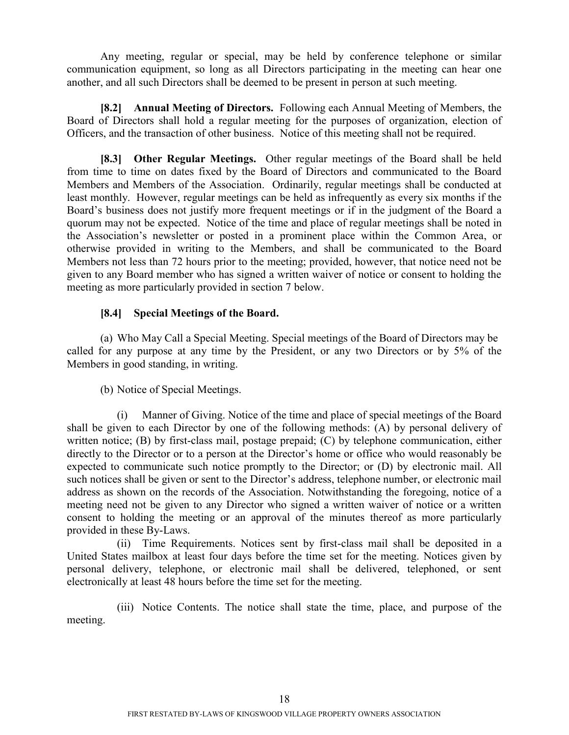Any meeting, regular or special, may be held by conference telephone or similar communication equipment, so long as all Directors participating in the meeting can hear one another, and all such Directors shall be deemed to be present in person at such meeting.

<span id="page-21-0"></span>**[8.2] Annual Meeting of Directors.** Following each Annual Meeting of Members, the Board of Directors shall hold a regular meeting for the purposes of organization, election of Officers, and the transaction of other business. Notice of this meeting shall not be required.

<span id="page-21-1"></span>**[8.3] Other Regular Meetings.** Other regular meetings of the Board shall be held from time to time on dates fixed by the Board of Directors and communicated to the Board Members and Members of the Association. Ordinarily, regular meetings shall be conducted at least monthly. However, regular meetings can be held as infrequently as every six months if the Board's business does not justify more frequent meetings or if in the judgment of the Board a quorum may not be expected. Notice of the time and place of regular meetings shall be noted in the Association's newsletter or posted in a prominent place within the Common Area, or otherwise provided in writing to the Members, and shall be communicated to the Board Members not less than 72 hours prior to the meeting; provided, however, that notice need not be given to any Board member who has signed a written waiver of notice or consent to holding the meeting as more particularly provided in section 7 below.

## <span id="page-21-2"></span>**[8.4] Special Meetings of the Board.**

(a) Who May Call a Special Meeting. Special meetings of the Board of Directors may be called for any purpose at any time by the President, or any two Directors or by 5% of the Members in good standing, in writing.

(b) Notice of Special Meetings.

(i) Manner of Giving. Notice of the time and place of special meetings of the Board shall be given to each Director by one of the following methods: (A) by personal delivery of written notice; (B) by first-class mail, postage prepaid; (C) by telephone communication, either directly to the Director or to a person at the Director's home or office who would reasonably be expected to communicate such notice promptly to the Director; or (D) by electronic mail. All such notices shall be given or sent to the Director's address, telephone number, or electronic mail address as shown on the records of the Association. Notwithstanding the foregoing, notice of a meeting need not be given to any Director who signed a written waiver of notice or a written consent to holding the meeting or an approval of the minutes thereof as more particularly provided in these By-Laws.

(ii) Time Requirements. Notices sent by first-class mail shall be deposited in a United States mailbox at least four days before the time set for the meeting. Notices given by personal delivery, telephone, or electronic mail shall be delivered, telephoned, or sent electronically at least 48 hours before the time set for the meeting.

(iii) Notice Contents. The notice shall state the time, place, and purpose of the meeting.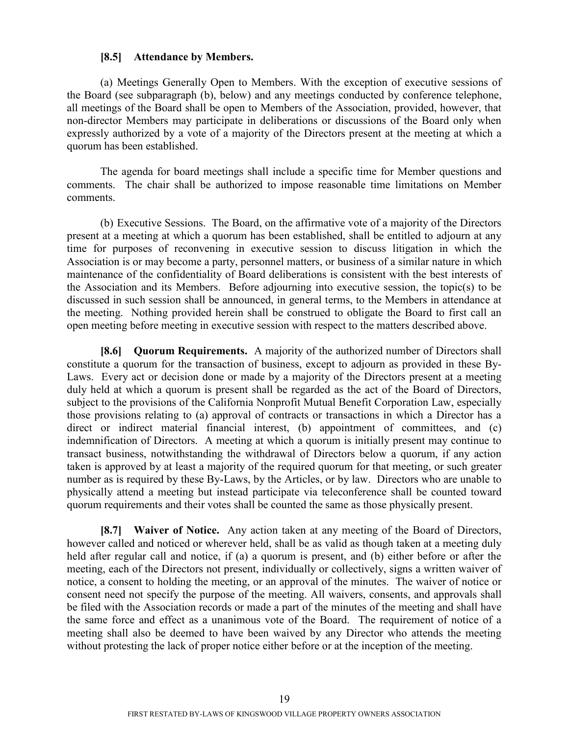#### <span id="page-22-0"></span>**[8.5] Attendance by Members.**

(a) Meetings Generally Open to Members. With the exception of executive sessions of the Board (see subparagraph (b), below) and any meetings conducted by conference telephone, all meetings of the Board shall be open to Members of the Association, provided, however, that non-director Members may participate in deliberations or discussions of the Board only when expressly authorized by a vote of a majority of the Directors present at the meeting at which a quorum has been established.

The agenda for board meetings shall include a specific time for Member questions and comments. The chair shall be authorized to impose reasonable time limitations on Member comments.

(b) Executive Sessions. The Board, on the affirmative vote of a majority of the Directors present at a meeting at which a quorum has been established, shall be entitled to adjourn at any time for purposes of reconvening in executive session to discuss litigation in which the Association is or may become a party, personnel matters, or business of a similar nature in which maintenance of the confidentiality of Board deliberations is consistent with the best interests of the Association and its Members. Before adjourning into executive session, the topic(s) to be discussed in such session shall be announced, in general terms, to the Members in attendance at the meeting. Nothing provided herein shall be construed to obligate the Board to first call an open meeting before meeting in executive session with respect to the matters described above.

<span id="page-22-1"></span>**[8.6] Quorum Requirements.** A majority of the authorized number of Directors shall constitute a quorum for the transaction of business, except to adjourn as provided in these By-Laws. Every act or decision done or made by a majority of the Directors present at a meeting duly held at which a quorum is present shall be regarded as the act of the Board of Directors, subject to the provisions of the California Nonprofit Mutual Benefit Corporation Law, especially those provisions relating to (a) approval of contracts or transactions in which a Director has a direct or indirect material financial interest, (b) appointment of committees, and (c) indemnification of Directors. A meeting at which a quorum is initially present may continue to transact business, notwithstanding the withdrawal of Directors below a quorum, if any action taken is approved by at least a majority of the required quorum for that meeting, or such greater number as is required by these By-Laws, by the Articles, or by law. Directors who are unable to physically attend a meeting but instead participate via teleconference shall be counted toward quorum requirements and their votes shall be counted the same as those physically present.

<span id="page-22-2"></span>**[8.7] Waiver of Notice.** Any action taken at any meeting of the Board of Directors, however called and noticed or wherever held, shall be as valid as though taken at a meeting duly held after regular call and notice, if (a) a quorum is present, and (b) either before or after the meeting, each of the Directors not present, individually or collectively, signs a written waiver of notice, a consent to holding the meeting, or an approval of the minutes. The waiver of notice or consent need not specify the purpose of the meeting. All waivers, consents, and approvals shall be filed with the Association records or made a part of the minutes of the meeting and shall have the same force and effect as a unanimous vote of the Board. The requirement of notice of a meeting shall also be deemed to have been waived by any Director who attends the meeting without protesting the lack of proper notice either before or at the inception of the meeting.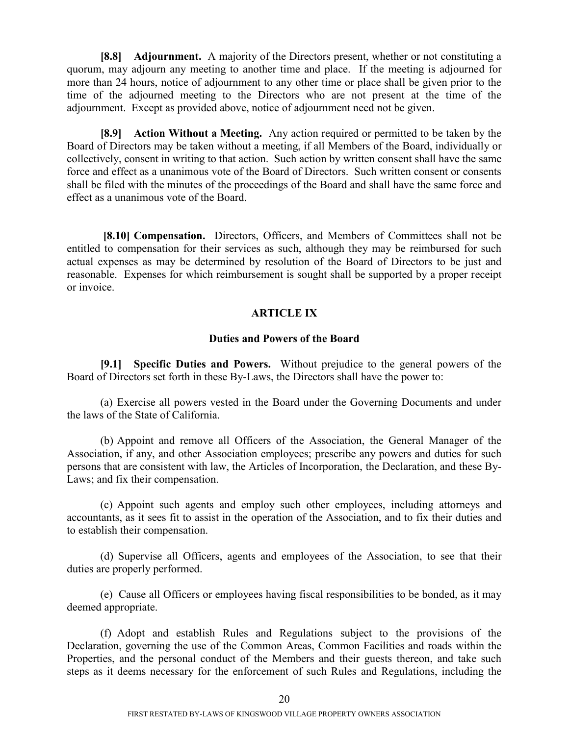<span id="page-23-0"></span>**[8.8] Adjournment.** A majority of the Directors present, whether or not constituting a quorum, may adjourn any meeting to another time and place. If the meeting is adjourned for more than 24 hours, notice of adjournment to any other time or place shall be given prior to the time of the adjourned meeting to the Directors who are not present at the time of the adjournment. Except as provided above, notice of adjournment need not be given.

**[8.9] Action Without a Meeting.** Any action required or permitted to be taken by the Board of Directors may be taken without a meeting, if all Members of the Board, individually or collectively, consent in writing to that action. Such action by written consent shall have the same force and effect as a unanimous vote of the Board of Directors. Such written consent or consents shall be filed with the minutes of the proceedings of the Board and shall have the same force and effect as a unanimous vote of the Board.

**[8.10] Compensation.** Directors, Officers, and Members of Committees shall not be entitled to compensation for their services as such, although they may be reimbursed for such actual expenses as may be determined by resolution of the Board of Directors to be just and reasonable. Expenses for which reimbursement is sought shall be supported by a proper receipt or invoice.

#### <span id="page-23-3"></span><span id="page-23-2"></span><span id="page-23-1"></span>**ARTICLE IX**

#### **Duties and Powers of the Board**

**[9.1] Specific Duties and Powers.** Without prejudice to the general powers of the Board of Directors set forth in these By-Laws, the Directors shall have the power to:

(a) Exercise all powers vested in the Board under the Governing Documents and under the laws of the State of California.

(b) Appoint and remove all Officers of the Association, the General Manager of the Association, if any, and other Association employees; prescribe any powers and duties for such persons that are consistent with law, the Articles of Incorporation, the Declaration, and these By-Laws; and fix their compensation.

(c) Appoint such agents and employ such other employees, including attorneys and accountants, as it sees fit to assist in the operation of the Association, and to fix their duties and to establish their compensation.

(d) Supervise all Officers, agents and employees of the Association, to see that their duties are properly performed.

(e) Cause all Officers or employees having fiscal responsibilities to be bonded, as it may deemed appropriate.

(f) Adopt and establish Rules and Regulations subject to the provisions of the Declaration, governing the use of the Common Areas, Common Facilities and roads within the Properties, and the personal conduct of the Members and their guests thereon, and take such steps as it deems necessary for the enforcement of such Rules and Regulations, including the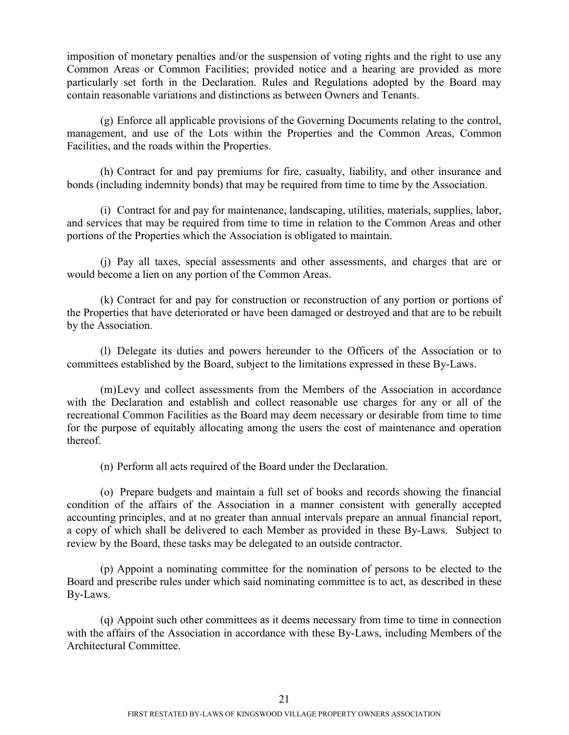imposition of monetary penalties and/or the suspension of voting rights and the right to use any Common Areas or Common Facilities; provided notice and a hearing are provided as more particularly set forth in the Declaration. Rules and Regulations adopted by the Board may contain reasonable variations and distinctions as between Owners and Tenants.

(g) Enforce all applicable provisions of the Governing Documents relating to the control, management, and use of the Lots within the Properties and the Common Areas, Common Facilities, and the roads within the Properties.

(h) Contract for and pay premiums for fire, casualty, liability, and other insurance and bonds (including indemnity bonds) that may be required from time to time by the Association.

(i) Contract for and pay for maintenance, landscaping, utilities, materials, supplies, labor, and services that may be required from time to time in relation to the Common Areas and other portions of the Properties which the Association is obligated to maintain.

(j) Pay all taxes, special assessments and other assessments, and charges that are or would become a lien on any portion of the Common Areas.

(k) Contract for and pay for construction or reconstruction of any portion or portions of the Properties that have deteriorated or have been damaged or destroyed and that are to be rebuilt by the Association.

(l) Delegate its duties and powers hereunder to the Officers of the Association or to committees established by the Board, subject to the limitations expressed in these By-Laws.

(m)Levy and collect assessments from the Members of the Association in accordance with the Declaration and establish and collect reasonable use charges for any or all of the recreational Common Facilities as the Board may deem necessary or desirable from time to time for the purpose of equitably allocating among the users the cost of maintenance and operation thereof.

(n) Perform all acts required of the Board under the Declaration.

(o) Prepare budgets and maintain a full set of books and records showing the financial condition of the affairs of the Association in a manner consistent with generally accepted accounting principles, and at no greater than annual intervals prepare an annual financial report, a copy of which shall be delivered to each Member as provided in these By-Laws. Subject to review by the Board, these tasks may be delegated to an outside contractor.

(p) Appoint a nominating committee for the nomination of persons to be elected to the Board and prescribe rules under which said nominating committee is to act, as described in these By-Laws.

(q) Appoint such other committees as it deems necessary from time to time in connection with the affairs of the Association in accordance with these By-Laws, including Members of the Architectural Committee.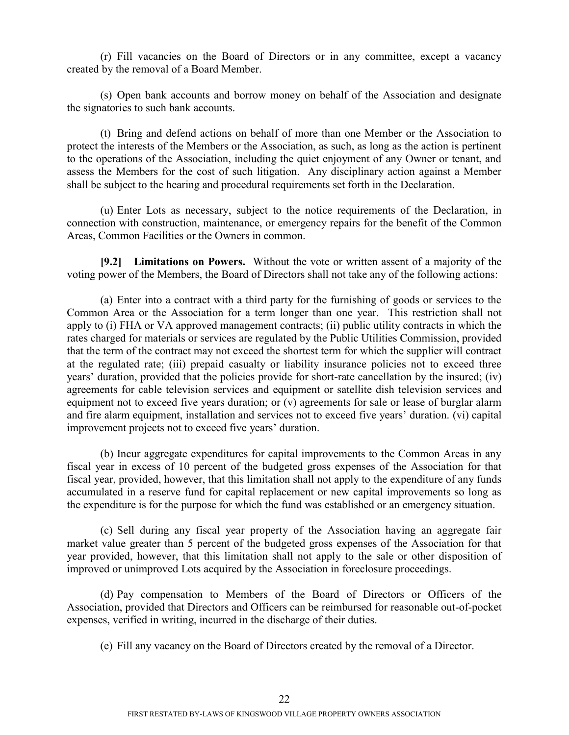(r) Fill vacancies on the Board of Directors or in any committee, except a vacancy created by the removal of a Board Member.

(s) Open bank accounts and borrow money on behalf of the Association and designate the signatories to such bank accounts.

(t) Bring and defend actions on behalf of more than one Member or the Association to protect the interests of the Members or the Association, as such, as long as the action is pertinent to the operations of the Association, including the quiet enjoyment of any Owner or tenant, and assess the Members for the cost of such litigation. Any disciplinary action against a Member shall be subject to the hearing and procedural requirements set forth in the Declaration.

(u) Enter Lots as necessary, subject to the notice requirements of the Declaration, in connection with construction, maintenance, or emergency repairs for the benefit of the Common Areas, Common Facilities or the Owners in common.

<span id="page-25-0"></span>**[9.2] Limitations on Powers.** Without the vote or written assent of a majority of the voting power of the Members, the Board of Directors shall not take any of the following actions:

(a) Enter into a contract with a third party for the furnishing of goods or services to the Common Area or the Association for a term longer than one year. This restriction shall not apply to (i) FHA or VA approved management contracts; (ii) public utility contracts in which the rates charged for materials or services are regulated by the Public Utilities Commission, provided that the term of the contract may not exceed the shortest term for which the supplier will contract at the regulated rate; (iii) prepaid casualty or liability insurance policies not to exceed three years' duration, provided that the policies provide for short-rate cancellation by the insured; (iv) agreements for cable television services and equipment or satellite dish television services and equipment not to exceed five years duration; or (v) agreements for sale or lease of burglar alarm and fire alarm equipment, installation and services not to exceed five years' duration. (vi) capital improvement projects not to exceed five years' duration.

(b) Incur aggregate expenditures for capital improvements to the Common Areas in any fiscal year in excess of 10 percent of the budgeted gross expenses of the Association for that fiscal year, provided, however, that this limitation shall not apply to the expenditure of any funds accumulated in a reserve fund for capital replacement or new capital improvements so long as the expenditure is for the purpose for which the fund was established or an emergency situation.

(c) Sell during any fiscal year property of the Association having an aggregate fair market value greater than 5 percent of the budgeted gross expenses of the Association for that year provided, however, that this limitation shall not apply to the sale or other disposition of improved or unimproved Lots acquired by the Association in foreclosure proceedings.

(d) Pay compensation to Members of the Board of Directors or Officers of the Association, provided that Directors and Officers can be reimbursed for reasonable out-of-pocket expenses, verified in writing, incurred in the discharge of their duties.

(e) Fill any vacancy on the Board of Directors created by the removal of a Director.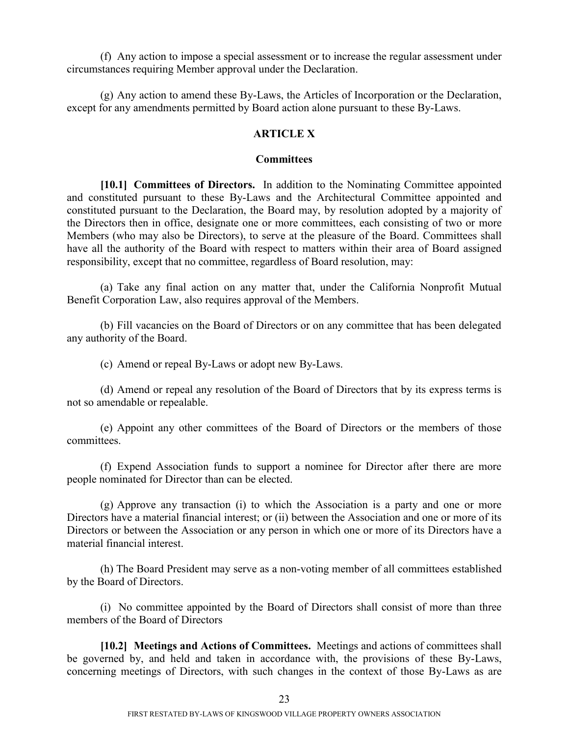(f) Any action to impose a special assessment or to increase the regular assessment under circumstances requiring Member approval under the Declaration.

(g) Any action to amend these By-Laws, the Articles of Incorporation or the Declaration, except for any amendments permitted by Board action alone pursuant to these By-Laws.

### **ARTICLE X**

#### <span id="page-26-0"></span>**Committees**

**[10.1] Committees of Directors.** In addition to the Nominating Committee appointed and constituted pursuant to these By-Laws and the Architectural Committee appointed and constituted pursuant to the Declaration, the Board may, by resolution adopted by a majority of the Directors then in office, designate one or more committees, each consisting of two or more Members (who may also be Directors), to serve at the pleasure of the Board. Committees shall have all the authority of the Board with respect to matters within their area of Board assigned responsibility, except that no committee, regardless of Board resolution, may:

(a) Take any final action on any matter that, under the California Nonprofit Mutual Benefit Corporation Law, also requires approval of the Members.

(b) Fill vacancies on the Board of Directors or on any committee that has been delegated any authority of the Board.

(c) Amend or repeal By-Laws or adopt new By-Laws.

(d) Amend or repeal any resolution of the Board of Directors that by its express terms is not so amendable or repealable.

(e) Appoint any other committees of the Board of Directors or the members of those committees.

(f) Expend Association funds to support a nominee for Director after there are more people nominated for Director than can be elected.

(g) Approve any transaction (i) to which the Association is a party and one or more Directors have a material financial interest; or (ii) between the Association and one or more of its Directors or between the Association or any person in which one or more of its Directors have a material financial interest.

(h) The Board President may serve as a non-voting member of all committees established by the Board of Directors.

(i) No committee appointed by the Board of Directors shall consist of more than three members of the Board of Directors

<span id="page-26-1"></span>**[10.2] Meetings and Actions of Committees.** Meetings and actions of committees shall be governed by, and held and taken in accordance with, the provisions of these By-Laws, concerning meetings of Directors, with such changes in the context of those By-Laws as are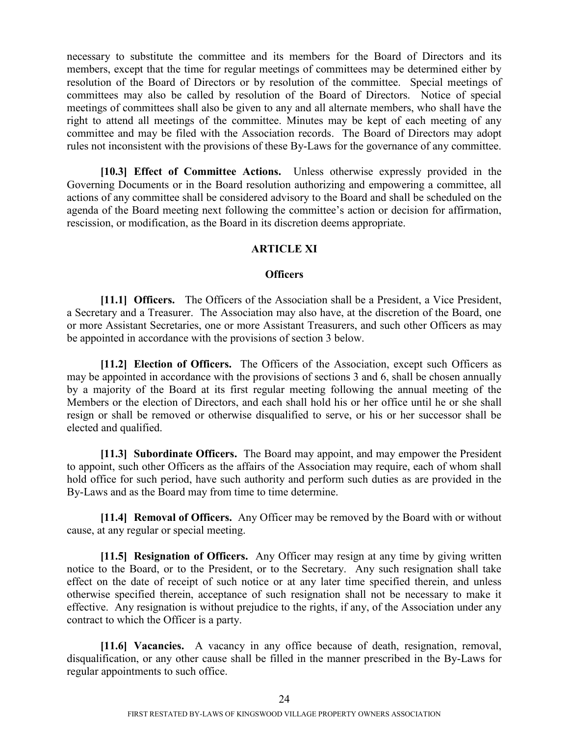necessary to substitute the committee and its members for the Board of Directors and its members, except that the time for regular meetings of committees may be determined either by resolution of the Board of Directors or by resolution of the committee. Special meetings of committees may also be called by resolution of the Board of Directors. Notice of special meetings of committees shall also be given to any and all alternate members, who shall have the right to attend all meetings of the committee. Minutes may be kept of each meeting of any committee and may be filed with the Association records. The Board of Directors may adopt rules not inconsistent with the provisions of these By-Laws for the governance of any committee.

**[10.3] Effect of Committee Actions.** Unless otherwise expressly provided in the Governing Documents or in the Board resolution authorizing and empowering a committee, all actions of any committee shall be considered advisory to the Board and shall be scheduled on the agenda of the Board meeting next following the committee's action or decision for affirmation, rescission, or modification, as the Board in its discretion deems appropriate.

### <span id="page-27-1"></span><span id="page-27-0"></span>**ARTICLE XI**

#### <span id="page-27-2"></span>**Officers**

**[11.1] Officers.** The Officers of the Association shall be a President, a Vice President, a Secretary and a Treasurer. The Association may also have, at the discretion of the Board, one or more Assistant Secretaries, one or more Assistant Treasurers, and such other Officers as may be appointed in accordance with the provisions of section 3 below.

**[11.2] Election of Officers.** The Officers of the Association, except such Officers as may be appointed in accordance with the provisions of sections 3 and 6, shall be chosen annually by a majority of the Board at its first regular meeting following the annual meeting of the Members or the election of Directors, and each shall hold his or her office until he or she shall resign or shall be removed or otherwise disqualified to serve, or his or her successor shall be elected and qualified.

<span id="page-27-3"></span>**[11.3] Subordinate Officers.** The Board may appoint, and may empower the President to appoint, such other Officers as the affairs of the Association may require, each of whom shall hold office for such period, have such authority and perform such duties as are provided in the By-Laws and as the Board may from time to time determine.

<span id="page-27-4"></span>**[11.4] Removal of Officers.** Any Officer may be removed by the Board with or without cause, at any regular or special meeting.

<span id="page-27-5"></span>**[11.5] Resignation of Officers.** Any Officer may resign at any time by giving written notice to the Board, or to the President, or to the Secretary. Any such resignation shall take effect on the date of receipt of such notice or at any later time specified therein, and unless otherwise specified therein, acceptance of such resignation shall not be necessary to make it effective. Any resignation is without prejudice to the rights, if any, of the Association under any contract to which the Officer is a party.

<span id="page-27-6"></span>**[11.6] Vacancies.** A vacancy in any office because of death, resignation, removal, disqualification, or any other cause shall be filled in the manner prescribed in the By-Laws for regular appointments to such office.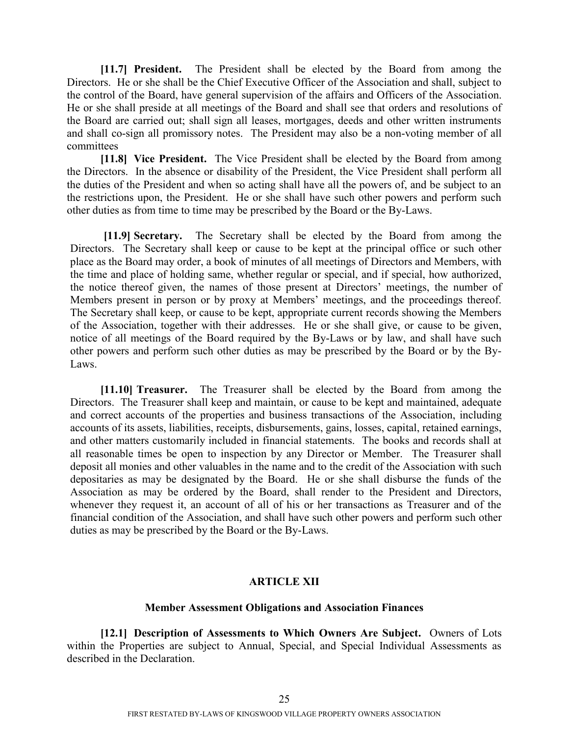<span id="page-28-0"></span>**[11.7] President.** The President shall be elected by the Board from among the Directors. He or she shall be the Chief Executive Officer of the Association and shall, subject to the control of the Board, have general supervision of the affairs and Officers of the Association. He or she shall preside at all meetings of the Board and shall see that orders and resolutions of the Board are carried out; shall sign all leases, mortgages, deeds and other written instruments and shall co-sign all promissory notes. The President may also be a non-voting member of all committees

<span id="page-28-1"></span>**[11.8] Vice President.** The Vice President shall be elected by the Board from among the Directors. In the absence or disability of the President, the Vice President shall perform all the duties of the President and when so acting shall have all the powers of, and be subject to an the restrictions upon, the President. He or she shall have such other powers and perform such other duties as from time to time may be prescribed by the Board or the By-Laws.

<span id="page-28-2"></span>**[11.9] Secretary.** The Secretary shall be elected by the Board from among the Directors. The Secretary shall keep or cause to be kept at the principal office or such other place as the Board may order, a book of minutes of all meetings of Directors and Members, with the time and place of holding same, whether regular or special, and if special, how authorized, the notice thereof given, the names of those present at Directors' meetings, the number of Members present in person or by proxy at Members' meetings, and the proceedings thereof. The Secretary shall keep, or cause to be kept, appropriate current records showing the Members of the Association, together with their addresses. He or she shall give, or cause to be given, notice of all meetings of the Board required by the By-Laws or by law, and shall have such other powers and perform such other duties as may be prescribed by the Board or by the By-Laws.

<span id="page-28-3"></span>**[11.10] Treasurer.** The Treasurer shall be elected by the Board from among the Directors. The Treasurer shall keep and maintain, or cause to be kept and maintained, adequate and correct accounts of the properties and business transactions of the Association, including accounts of its assets, liabilities, receipts, disbursements, gains, losses, capital, retained earnings, and other matters customarily included in financial statements. The books and records shall at all reasonable times be open to inspection by any Director or Member. The Treasurer shall deposit all monies and other valuables in the name and to the credit of the Association with such depositaries as may be designated by the Board. He or she shall disburse the funds of the Association as may be ordered by the Board, shall render to the President and Directors, whenever they request it, an account of all of his or her transactions as Treasurer and of the financial condition of the Association, and shall have such other powers and perform such other duties as may be prescribed by the Board or the By-Laws.

### <span id="page-28-4"></span>**ARTICLE XII**

#### **Member Assessment Obligations and Association Finances**

**[12.1] Description of Assessments to Which Owners Are Subject.** Owners of Lots within the Properties are subject to Annual, Special, and Special Individual Assessments as described in the Declaration.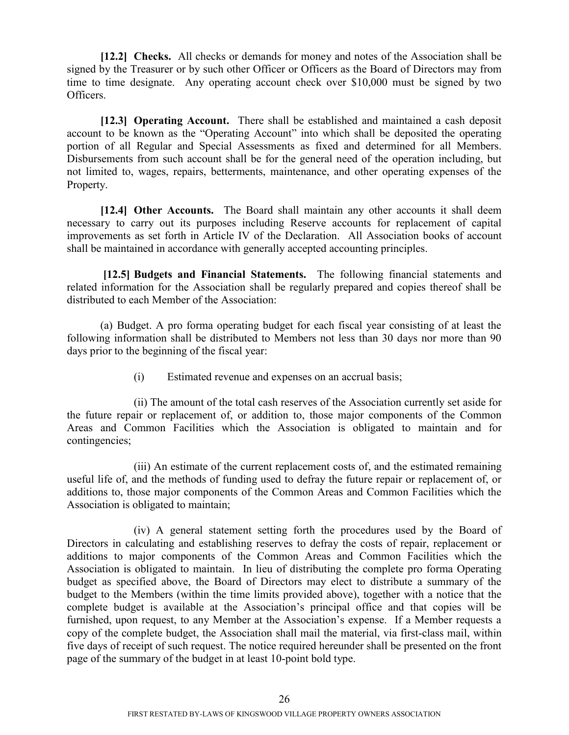<span id="page-29-0"></span>**[12.2] Checks.** All checks or demands for money and notes of the Association shall be signed by the Treasurer or by such other Officer or Officers as the Board of Directors may from time to time designate. Any operating account check over \$10,000 must be signed by two Officers.

<span id="page-29-1"></span>**[12.3] Operating Account.** There shall be established and maintained a cash deposit account to be known as the "Operating Account" into which shall be deposited the operating portion of all Regular and Special Assessments as fixed and determined for all Members. Disbursements from such account shall be for the general need of the operation including, but not limited to, wages, repairs, betterments, maintenance, and other operating expenses of the Property.

<span id="page-29-2"></span>**[12.4] Other Accounts.** The Board shall maintain any other accounts it shall deem necessary to carry out its purposes including Reserve accounts for replacement of capital improvements as set forth in Article IV of the Declaration. All Association books of account shall be maintained in accordance with generally accepted accounting principles.

**[12.5] Budgets and Financial Statements.** The following financial statements and related information for the Association shall be regularly prepared and copies thereof shall be distributed to each Member of the Association:

(a) Budget. A pro forma operating budget for each fiscal year consisting of at least the following information shall be distributed to Members not less than 30 days nor more than 90 days prior to the beginning of the fiscal year:

<span id="page-29-3"></span>(i) Estimated revenue and expenses on an accrual basis;

(ii) The amount of the total cash reserves of the Association currently set aside for the future repair or replacement of, or addition to, those major components of the Common Areas and Common Facilities which the Association is obligated to maintain and for contingencies;

(iii) An estimate of the current replacement costs of, and the estimated remaining useful life of, and the methods of funding used to defray the future repair or replacement of, or additions to, those major components of the Common Areas and Common Facilities which the Association is obligated to maintain;

(iv) A general statement setting forth the procedures used by the Board of Directors in calculating and establishing reserves to defray the costs of repair, replacement or additions to major components of the Common Areas and Common Facilities which the Association is obligated to maintain. In lieu of distributing the complete pro forma Operating budget as specified above, the Board of Directors may elect to distribute a summary of the budget to the Members (within the time limits provided above), together with a notice that the complete budget is available at the Association's principal office and that copies will be furnished, upon request, to any Member at the Association's expense. If a Member requests a copy of the complete budget, the Association shall mail the material, via first-class mail, within five days of receipt of such request. The notice required hereunder shall be presented on the front page of the summary of the budget in at least 10-point bold type.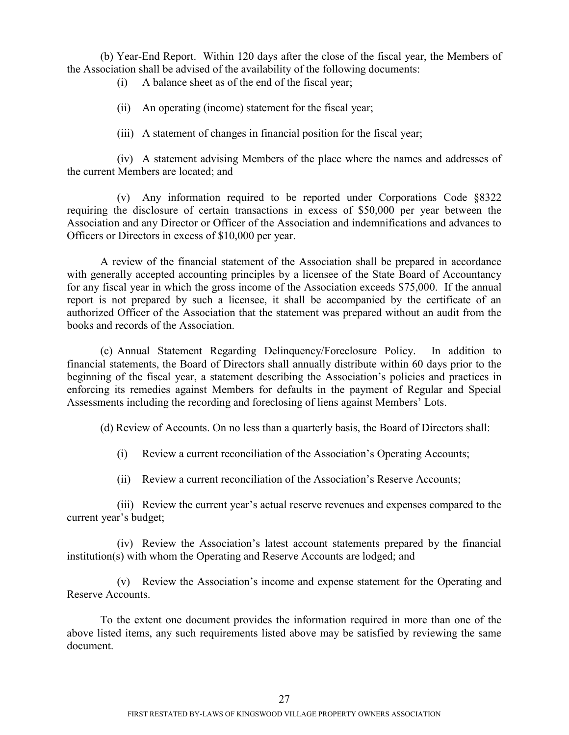(b) Year-End Report. Within 120 days after the close of the fiscal year, the Members of the Association shall be advised of the availability of the following documents:

(i) A balance sheet as of the end of the fiscal year;

(ii) An operating (income) statement for the fiscal year;

(iii) A statement of changes in financial position for the fiscal year;

(iv) A statement advising Members of the place where the names and addresses of the current Members are located; and

(v) Any information required to be reported under Corporations Code §8322 requiring the disclosure of certain transactions in excess of \$50,000 per year between the Association and any Director or Officer of the Association and indemnifications and advances to Officers or Directors in excess of \$10,000 per year.

A review of the financial statement of the Association shall be prepared in accordance with generally accepted accounting principles by a licensee of the State Board of Accountancy for any fiscal year in which the gross income of the Association exceeds \$75,000. If the annual report is not prepared by such a licensee, it shall be accompanied by the certificate of an authorized Officer of the Association that the statement was prepared without an audit from the books and records of the Association.

(c) Annual Statement Regarding Delinquency/Foreclosure Policy. In addition to financial statements, the Board of Directors shall annually distribute within 60 days prior to the beginning of the fiscal year, a statement describing the Association's policies and practices in enforcing its remedies against Members for defaults in the payment of Regular and Special Assessments including the recording and foreclosing of liens against Members' Lots.

(d) Review of Accounts. On no less than a quarterly basis, the Board of Directors shall:

- (i) Review a current reconciliation of the Association's Operating Accounts;
- (ii) Review a current reconciliation of the Association's Reserve Accounts;

(iii) Review the current year's actual reserve revenues and expenses compared to the current year's budget;

(iv) Review the Association's latest account statements prepared by the financial institution(s) with whom the Operating and Reserve Accounts are lodged; and

(v) Review the Association's income and expense statement for the Operating and Reserve Accounts.

To the extent one document provides the information required in more than one of the above listed items, any such requirements listed above may be satisfied by reviewing the same document.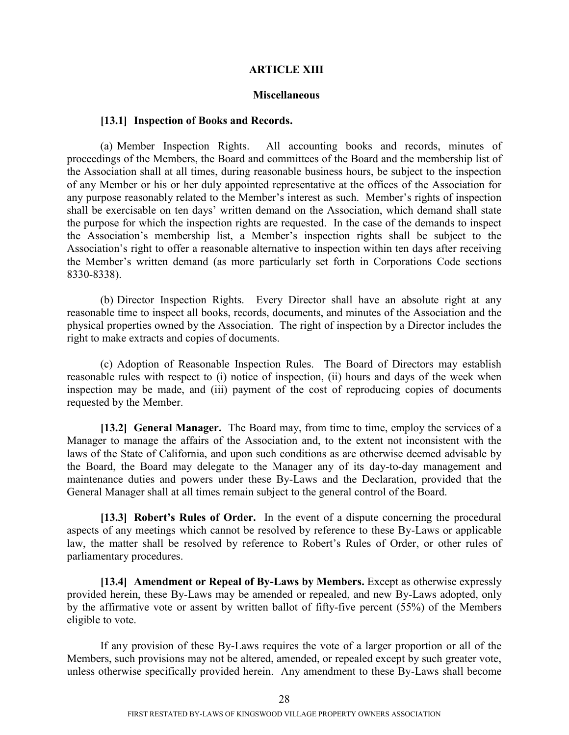#### **ARTICLE XIII**

#### <span id="page-31-0"></span>**Miscellaneous**

#### **[13.1] Inspection of Books and Records.**

(a) Member Inspection Rights. All accounting books and records, minutes of proceedings of the Members, the Board and committees of the Board and the membership list of the Association shall at all times, during reasonable business hours, be subject to the inspection of any Member or his or her duly appointed representative at the offices of the Association for any purpose reasonably related to the Member's interest as such. Member's rights of inspection shall be exercisable on ten days' written demand on the Association, which demand shall state the purpose for which the inspection rights are requested. In the case of the demands to inspect the Association's membership list, a Member's inspection rights shall be subject to the Association's right to offer a reasonable alternative to inspection within ten days after receiving the Member's written demand (as more particularly set forth in Corporations Code sections 8330-8338).

(b) Director Inspection Rights. Every Director shall have an absolute right at any reasonable time to inspect all books, records, documents, and minutes of the Association and the physical properties owned by the Association. The right of inspection by a Director includes the right to make extracts and copies of documents.

(c) Adoption of Reasonable Inspection Rules. The Board of Directors may establish reasonable rules with respect to (i) notice of inspection, (ii) hours and days of the week when inspection may be made, and (iii) payment of the cost of reproducing copies of documents requested by the Member.

<span id="page-31-1"></span>**[13.2] General Manager.** The Board may, from time to time, employ the services of a Manager to manage the affairs of the Association and, to the extent not inconsistent with the laws of the State of California, and upon such conditions as are otherwise deemed advisable by the Board, the Board may delegate to the Manager any of its day-to-day management and maintenance duties and powers under these By-Laws and the Declaration, provided that the General Manager shall at all times remain subject to the general control of the Board.

<span id="page-31-2"></span>**[13.3] Robert's Rules of Order.** In the event of a dispute concerning the procedural aspects of any meetings which cannot be resolved by reference to these By-Laws or applicable law, the matter shall be resolved by reference to Robert's Rules of Order, or other rules of parliamentary procedures.

<span id="page-31-3"></span>**[13.4] Amendment or Repeal of By-Laws by Members.** Except as otherwise expressly provided herein, these By-Laws may be amended or repealed, and new By-Laws adopted, only by the affirmative vote or assent by written ballot of fifty-five percent (55%) of the Members eligible to vote.

If any provision of these By-Laws requires the vote of a larger proportion or all of the Members, such provisions may not be altered, amended, or repealed except by such greater vote, unless otherwise specifically provided herein. Any amendment to these By-Laws shall become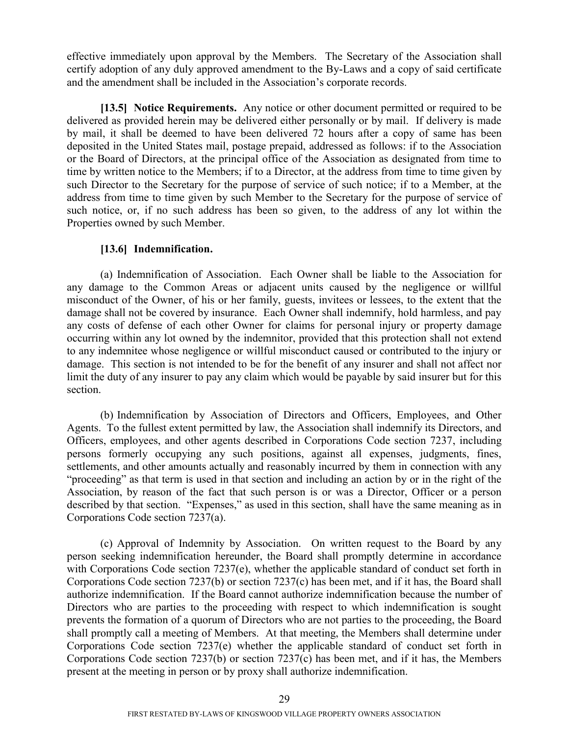effective immediately upon approval by the Members. The Secretary of the Association shall certify adoption of any duly approved amendment to the By-Laws and a copy of said certificate and the amendment shall be included in the Association's corporate records.

<span id="page-32-0"></span>**[13.5] Notice Requirements.** Any notice or other document permitted or required to be delivered as provided herein may be delivered either personally or by mail. If delivery is made by mail, it shall be deemed to have been delivered 72 hours after a copy of same has been deposited in the United States mail, postage prepaid, addressed as follows: if to the Association or the Board of Directors, at the principal office of the Association as designated from time to time by written notice to the Members; if to a Director, at the address from time to time given by such Director to the Secretary for the purpose of service of such notice; if to a Member, at the address from time to time given by such Member to the Secretary for the purpose of service of such notice, or, if no such address has been so given, to the address of any lot within the Properties owned by such Member.

### <span id="page-32-1"></span>**[13.6] Indemnification.**

(a) Indemnification of Association. Each Owner shall be liable to the Association for any damage to the Common Areas or adjacent units caused by the negligence or willful misconduct of the Owner, of his or her family, guests, invitees or lessees, to the extent that the damage shall not be covered by insurance. Each Owner shall indemnify, hold harmless, and pay any costs of defense of each other Owner for claims for personal injury or property damage occurring within any lot owned by the indemnitor, provided that this protection shall not extend to any indemnitee whose negligence or willful misconduct caused or contributed to the injury or damage. This section is not intended to be for the benefit of any insurer and shall not affect nor limit the duty of any insurer to pay any claim which would be payable by said insurer but for this section.

(b) Indemnification by Association of Directors and Officers, Employees, and Other Agents. To the fullest extent permitted by law, the Association shall indemnify its Directors, and Officers, employees, and other agents described in Corporations Code section 7237, including persons formerly occupying any such positions, against all expenses, judgments, fines, settlements, and other amounts actually and reasonably incurred by them in connection with any "proceeding" as that term is used in that section and including an action by or in the right of the Association, by reason of the fact that such person is or was a Director, Officer or a person described by that section. "Expenses," as used in this section, shall have the same meaning as in Corporations Code section 7237(a).

(c) Approval of Indemnity by Association. On written request to the Board by any person seeking indemnification hereunder, the Board shall promptly determine in accordance with Corporations Code section 7237(e), whether the applicable standard of conduct set forth in Corporations Code section 7237(b) or section 7237(c) has been met, and if it has, the Board shall authorize indemnification. If the Board cannot authorize indemnification because the number of Directors who are parties to the proceeding with respect to which indemnification is sought prevents the formation of a quorum of Directors who are not parties to the proceeding, the Board shall promptly call a meeting of Members. At that meeting, the Members shall determine under Corporations Code section 7237(e) whether the applicable standard of conduct set forth in Corporations Code section 7237(b) or section 7237(c) has been met, and if it has, the Members present at the meeting in person or by proxy shall authorize indemnification.